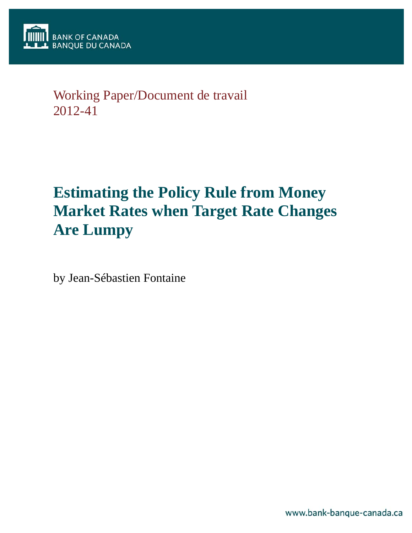

# Working Paper/Document de travail 2012-41

# **Estimating the Policy Rule from Money Market Rates when Target Rate Changes Are Lumpy**

by Jean-Sébastien Fontaine

www.bank-banque-canada.ca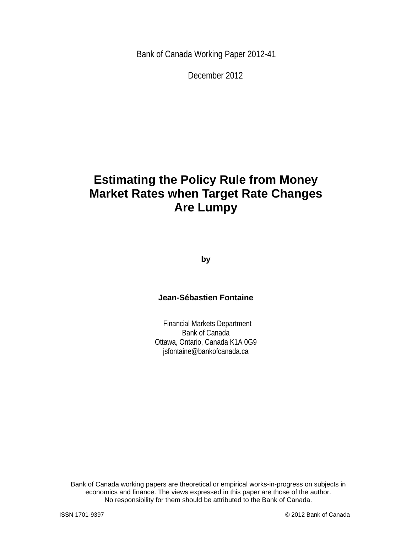Bank of Canada Working Paper 2012-41

December 2012

# **Estimating the Policy Rule from Money Market Rates when Target Rate Changes Are Lumpy**

**by** 

# **Jean-Sébastien Fontaine**

 Financial Markets Department Bank of Canada Ottawa, Ontario, Canada K1A 0G9 jsfontaine@bankofcanada.ca

2 No responsibility for them should be attributed to the Bank of Canada. Bank of Canada working papers are theoretical or empirical works-in-progress on subjects in economics and finance. The views expressed in this paper are those of the author.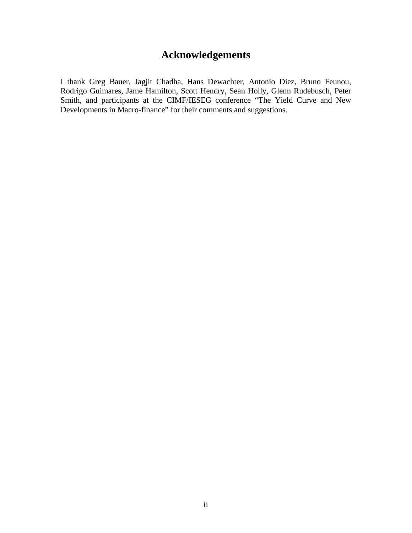# **Acknowledgements**

I thank Greg Bauer, Jagjit Chadha, Hans Dewachter, Antonio Diez, Bruno Feunou, Rodrigo Guimares, Jame Hamilton, Scott Hendry, Sean Holly, Glenn Rudebusch, Peter Smith, and participants at the CIMF/IESEG conference "The Yield Curve and New Developments in Macro-finance" for their comments and suggestions.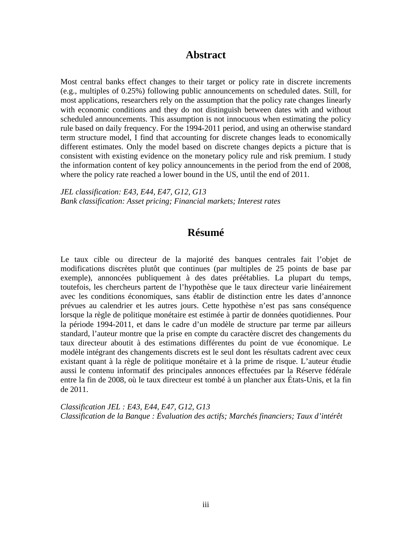# **Abstract**

Most central banks effect changes to their target or policy rate in discrete increments (e.g., multiples of 0.25%) following public announcements on scheduled dates. Still, for most applications, researchers rely on the assumption that the policy rate changes linearly with economic conditions and they do not distinguish between dates with and without scheduled announcements. This assumption is not innocuous when estimating the policy rule based on daily frequency. For the 1994-2011 period, and using an otherwise standard term structure model, I find that accounting for discrete changes leads to economically different estimates. Only the model based on discrete changes depicts a picture that is consistent with existing evidence on the monetary policy rule and risk premium. I study the information content of key policy announcements in the period from the end of 2008, where the policy rate reached a lower bound in the US, until the end of 2011.

*JEL classification: E43, E44, E47, G12, G13 Bank classification: Asset pricing; Financial markets; Interest rates* 

# **Résumé**

Le taux cible ou directeur de la majorité des banques centrales fait l'objet de modifications discrètes plutôt que continues (par multiples de 25 points de base par exemple), annoncées publiquement à des dates préétablies. La plupart du temps, toutefois, les chercheurs partent de l'hypothèse que le taux directeur varie linéairement avec les conditions économiques, sans établir de distinction entre les dates d'annonce prévues au calendrier et les autres jours. Cette hypothèse n'est pas sans conséquence lorsque la règle de politique monétaire est estimée à partir de données quotidiennes. Pour la période 1994-2011, et dans le cadre d'un modèle de structure par terme par ailleurs standard, l'auteur montre que la prise en compte du caractère discret des changements du taux directeur aboutit à des estimations différentes du point de vue économique. Le modèle intégrant des changements discrets est le seul dont les résultats cadrent avec ceux existant quant à la règle de politique monétaire et à la prime de risque. L'auteur étudie aussi le contenu informatif des principales annonces effectuées par la Réserve fédérale entre la fin de 2008, où le taux directeur est tombé à un plancher aux États-Unis, et la fin de 2011.

*Classification JEL : E43, E44, E47, G12, G13 Classification de la Banque : Évaluation des actifs; Marchés financiers; Taux d'intérêt*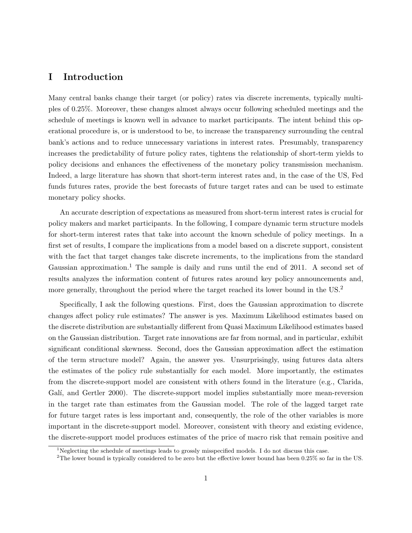# **I Introduction**

Many central banks change their target (or policy) rates via discrete increments, typically multiples of 0.25%. Moreover, these changes almost always occur following scheduled meetings and the schedule of meetings is known well in advance to market participants. The intent behind this operational procedure is, or is understood to be, to increase the transparency surrounding the central bank's actions and to reduce unnecessary variations in interest rates. Presumably, transparency increases the predictability of future policy rates, tightens the relationship of short-term yields to policy decisions and enhances the effectiveness of the monetary policy transmission mechanism. Indeed, a large literature has shown that short-term interest rates and, in the case of the US, Fed funds futures rates, provide the best forecasts of future target rates and can be used to estimate monetary policy shocks.

An accurate description of expectations as measured from short-term interest rates is crucial for policy makers and market participants. In the following, I compare dynamic term structure models for short-term interest rates that take into account the known schedule of policy meetings. In a first set of results, I compare the implications from a model based on a discrete support, consistent with the fact that target changes take discrete increments, to the implications from the standard Gaussian approximation.<sup>1</sup> The sample is daily and runs until the end of 2011. A second set of results analyzes the information content of futures rates around key policy announcements and, more generally, throughout the period where the target reached its lower bound in the US.<sup>2</sup>

Specifically, I ask the following questions. First, does the Gaussian approximation to discrete changes affect policy rule estimates? The answer is yes. Maximum Likelihood estimates based on the discrete distribution are substantially different from Quasi Maximum Likelihood estimates based on the Gaussian distribution. Target rate innovations are far from normal, and in particular, exhibit significant conditional skewness. Second, does the Gaussian approximation affect the estimation of the term structure model? Again, the answer yes. Unsurprisingly, using futures data alters the estimates of the policy rule substantially for each model. More importantly, the estimates from the discrete-support model are consistent with others found in the literature (e.g., Clarida, Galí, and Gertler 2000). The discrete-support model implies substantially more mean-reversion in the target rate than estimates from the Gaussian model. The role of the lagged target rate for future target rates is less important and, consequently, the role of the other variables is more important in the discrete-support model. Moreover, consistent with theory and existing evidence, the discrete-support model produces estimates of the price of macro risk that remain positive and

<sup>&</sup>lt;sup>1</sup>Neglecting the schedule of meetings leads to grossly misspecified models. I do not discuss this case.

<sup>&</sup>lt;sup>2</sup>The lower bound is typically considered to be zero but the effective lower bound has been  $0.25\%$  so far in the US.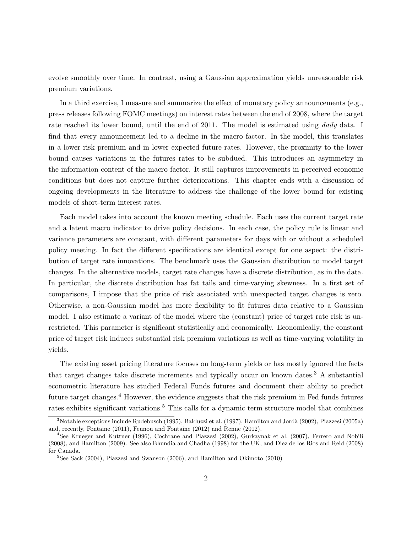evolve smoothly over time. In contrast, using a Gaussian approximation yields unreasonable risk premium variations.

In a third exercise, I measure and summarize the effect of monetary policy announcements (e.g., press releases following FOMC meetings) on interest rates between the end of 2008, where the target rate reached its lower bound, until the end of 2011. The model is estimated using *daily* data. I find that every announcement led to a decline in the macro factor. In the model, this translates in a lower risk premium and in lower expected future rates. However, the proximity to the lower bound causes variations in the futures rates to be subdued. This introduces an asymmetry in the information content of the macro factor. It still captures improvements in perceived economic conditions but does not capture further deteriorations. This chapter ends with a discussion of ongoing developments in the literature to address the challenge of the lower bound for existing models of short-term interest rates.

Each model takes into account the known meeting schedule. Each uses the current target rate and a latent macro indicator to drive policy decisions. In each case, the policy rule is linear and variance parameters are constant, with different parameters for days with or without a scheduled policy meeting. In fact the different specifications are identical except for one aspect: the distribution of target rate innovations. The benchmark uses the Gaussian distribution to model target changes. In the alternative models, target rate changes have a discrete distribution, as in the data. In particular, the discrete distribution has fat tails and time-varying skewness. In a first set of comparisons, I impose that the price of risk associated with unexpected target changes is zero. Otherwise, a non-Gaussian model has more flexibility to fit futures data relative to a Gaussian model. I also estimate a variant of the model where the (constant) price of target rate risk is unrestricted. This parameter is significant statistically and economically. Economically, the constant price of target risk induces substantial risk premium variations as well as time-varying volatility in yields.

The existing asset pricing literature focuses on long-term yields or has mostly ignored the facts that target changes take discrete increments and typically occur on known dates.<sup>3</sup> A substantial econometric literature has studied Federal Funds futures and document their ability to predict future target changes.<sup>4</sup> However, the evidence suggests that the risk premium in Fed funds futures rates exhibits significant variations.<sup>5</sup> This calls for a dynamic term structure model that combines

<sup>3</sup>Notable exceptions include Rudebusch (1995), Balduzzi et al. (1997), Hamilton and Jord`a (2002), Piazzesi (2005a) and, recently, Fontaine (2011), Feunou and Fontaine (2012) and Renne (2012).

<sup>4</sup>See Krueger and Kuttner (1996), Cochrane and Piazzesi (2002), Gurkaynak et al. (2007), Ferrero and Nobili (2008), and Hamilton (2009). See also Bhundia and Chadha (1998) for the UK, and Diez de los Rios and Reid (2008) for Canada.

 ${}^{5}$ See Sack (2004), Piazzesi and Swanson (2006), and Hamilton and Okimoto (2010)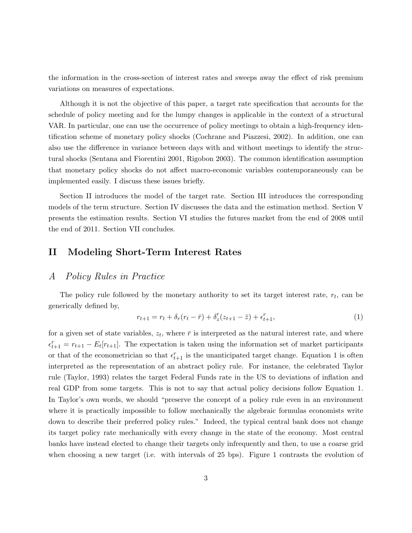the information in the cross-section of interest rates and sweeps away the effect of risk premium variations on measures of expectations.

Although it is not the objective of this paper, a target rate specification that accounts for the schedule of policy meeting and for the lumpy changes is applicable in the context of a structural VAR. In particular, one can use the occurrence of policy meetings to obtain a high-frequency identification scheme of monetary policy shocks (Cochrane and Piazzesi, 2002). In addition, one can also use the difference in variance between days with and without meetings to identify the structural shocks (Sentana and Fiorentini 2001, Rigobon 2003). The common identification assumption that monetary policy shocks do not affect macro-economic variables contemporaneously can be implemented easily. I discuss these issues briefly.

Section II introduces the model of the target rate. Section III introduces the corresponding models of the term structure. Section IV discusses the data and the estimation method. Section V presents the estimation results. Section VI studies the futures market from the end of 2008 until the end of 2011. Section VII concludes.

## **II Modeling Short-Term Interest Rates**

## *A Policy Rules in Practice*

The policy rule followed by the monetary authority to set its target interest rate, *r<sup>t</sup>* , can be generically defined by,

$$
r_{t+1} = r_t + \delta_r (r_t - \bar{r}) + \delta'_z (z_{t+1} - \bar{z}) + \epsilon_{t+1}^r,
$$
\n(1)

for a given set of state variables,  $z_t$ , where  $\bar{r}$  is interpreted as the natural interest rate, and where  $\epsilon_{t+1}^r = r_{t+1} - E_t[r_{t+1}]$ . The expectation is taken using the information set of market participants or that of the econometrician so that  $\epsilon_{t+1}^r$  is the unanticipated target change. Equation 1 is often interpreted as the representation of an abstract policy rule. For instance, the celebrated Taylor rule (Taylor, 1993) relates the target Federal Funds rate in the US to deviations of inflation and real GDP from some targets. This is not to say that actual policy decisions follow Equation 1. In Taylor's own words, we should "preserve the concept of a policy rule even in an environment where it is practically impossible to follow mechanically the algebraic formulas economists write down to describe their preferred policy rules." Indeed, the typical central bank does not change its target policy rate mechanically with every change in the state of the economy. Most central banks have instead elected to change their targets only infrequently and then, to use a coarse grid when choosing a new target (i.e. with intervals of 25 bps). Figure 1 contrasts the evolution of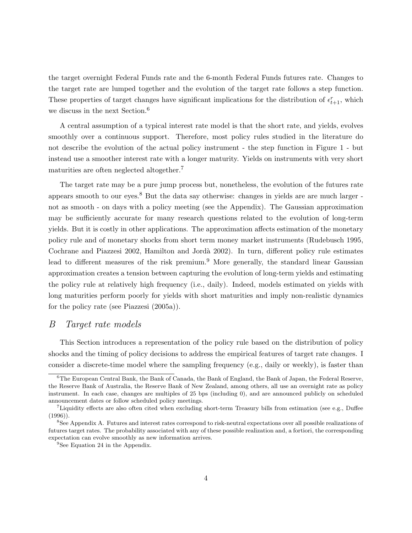the target overnight Federal Funds rate and the 6-month Federal Funds futures rate. Changes to the target rate are lumped together and the evolution of the target rate follows a step function. These properties of target changes have significant implications for the distribution of  $\epsilon_{t+1}^r$ , which we discuss in the next Section.<sup>6</sup>

A central assumption of a typical interest rate model is that the short rate, and yields, evolves smoothly over a continuous support. Therefore, most policy rules studied in the literature do not describe the evolution of the actual policy instrument - the step function in Figure 1 - but instead use a smoother interest rate with a longer maturity. Yields on instruments with very short maturities are often neglected altogether.<sup>7</sup>

The target rate may be a pure jump process but, nonetheless, the evolution of the futures rate appears smooth to our eyes. $8$  But the data say otherwise: changes in yields are are much larger not as smooth - on days with a policy meeting (see the Appendix). The Gaussian approximation may be sufficiently accurate for many research questions related to the evolution of long-term yields. But it is costly in other applications. The approximation affects estimation of the monetary policy rule and of monetary shocks from short term money market instruments (Rudebusch 1995, Cochrane and Piazzesi 2002, Hamilton and Jord`a 2002). In turn, different policy rule estimates lead to different measures of the risk premium.<sup>9</sup> More generally, the standard linear Gaussian approximation creates a tension between capturing the evolution of long-term yields and estimating the policy rule at relatively high frequency (i.e., daily). Indeed, models estimated on yields with long maturities perform poorly for yields with short maturities and imply non-realistic dynamics for the policy rate (see Piazzesi (2005a)).

## *B Target rate models*

This Section introduces a representation of the policy rule based on the distribution of policy shocks and the timing of policy decisions to address the empirical features of target rate changes. I consider a discrete-time model where the sampling frequency (e.g., daily or weekly), is faster than

<sup>6</sup>The European Central Bank, the Bank of Canada, the Bank of England, the Bank of Japan, the Federal Reserve, the Reserve Bank of Australia, the Reserve Bank of New Zealand, among others, all use an overnight rate as policy instrument. In each case, changes are multiples of 25 bps (including 0), and are announced publicly on scheduled announcement dates or follow scheduled policy meetings.

<sup>7</sup>Liquidity effects are also often cited when excluding short-term Treasury bills from estimation (see e.g., Duffee (1996)).

<sup>8</sup>See Appendix A. Futures and interest rates correspond to risk-neutral expectations over all possible realizations of futures target rates. The probability associated with any of these possible realization and, a fortiori, the corresponding expectation can evolve smoothly as new information arrives.

<sup>&</sup>lt;sup>9</sup>See Equation 24 in the Appendix.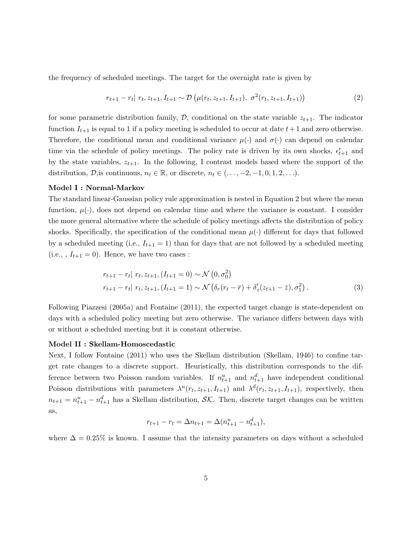the frequency of scheduled meetings. The target for the overnight rate is given by

$$
r_{t+1} - r_t | r_t, z_{t+1}, I_{t+1} \sim \mathcal{D}\left(\mu(r_t, z_{t+1}, I_{t+1}), \sigma^2(r_t, z_{t+1}, I_{t+1})\right)
$$
(2)

for some parametric distribution family,  $D$ , conditional on the state variable  $z_{t+1}$ . The indicator function  $I_{t+1}$  is equal to 1 if a policy meeting is scheduled to occur at date  $t+1$  and zero otherwise. Therefore, the conditional mean and conditional variance  $\mu(\cdot)$  and  $\sigma(\cdot)$  can depend on calendar time via the schedule of policy meetings. The policy rate is driven by its own shocks,  $\epsilon_{t+1}^r$  and by the state variables, *zt*+1. In the following, I contrast models based where the support of the distribution,  $\mathcal{D}$ , is continuous,  $n_t \in \mathbb{R}$ , or discrete,  $n_t \in (\ldots, -2, -1, 0, 1, 2, \ldots)$ .

#### **Model I : Normal-Markov**

The standard linear-Gaussian policy rule approximation is nested in Equation 2 but where the mean function,  $\mu(\cdot)$ , does not depend on calendar time and where the variance is constant. I consider the more general alternative where the schedule of policy meetings affects the distribution of policy shocks. Specifically, the specification of the conditional mean  $\mu(\cdot)$  different for days that followed by a scheduled meeting (i.e.,  $I_{t+1} = 1$ ) than for days that are not followed by a scheduled meeting  $(i.e.,, I_{t+1} = 0)$ . Hence, we have two cases :

$$
r_{t+1} - r_t | r_t, z_{t+1}, (I_{t+1} = 0) \sim \mathcal{N} (0, \sigma_0^2)
$$
  

$$
r_{t+1} - r_t | r_t, z_{t+1}, (I_{t+1} = 1) \sim \mathcal{N} (\delta_r (r_t - \bar{r}) + \delta_z' (z_{t+1} - \bar{z}), \sigma_1^2).
$$
 (3)

Following Piazzesi (2005a) and Fontaine (2011), the expected target change is state-dependent on days with a scheduled policy meeting but zero otherwise. The variance differs between days with or without a scheduled meeting but it is constant otherwise.

#### **Model II : Skellam-Homoscedastic**

Next, I follow Fontaine (2011) who uses the Skellam distribution (Skellam, 1946) to confine target rate changes to a discrete support. Heuristically, this distribution corresponds to the difference between two Poisson random variables. If  $n_{t+1}^u$  and  $n_{t+1}^d$  have independent conditional Poisson distributions with parameters  $\lambda^u(r_t, z_{t+1}, I_{t+1})$  and  $\lambda^d(r_t, z_{t+1}, I_{t+1})$ , respectively, then  $n_{t+1} = n_{t+1}^u - n_{t+1}^d$  has a Skellam distribution, *SK*. Then, discrete target changes can be written as,

$$
r_{t+1} - r_t = \Delta n_{t+1} = \Delta (n_{t+1}^u - n_{t+1}^d),
$$

where  $\Delta = 0.25\%$  is known. I assume that the intensity parameters on days without a scheduled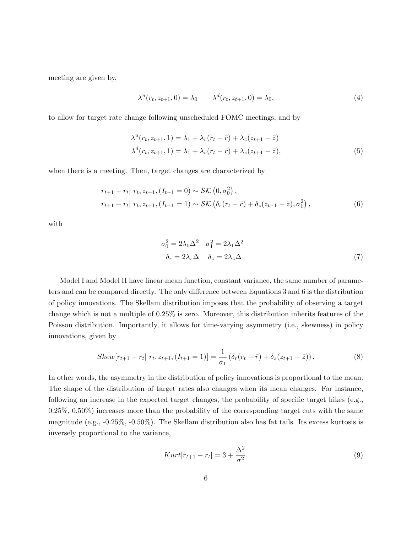meeting are given by,

$$
\lambda^{u}(r_{t}, z_{t+1}, 0) = \lambda_{0} \qquad \lambda^{d}(r_{t}, z_{t+1}, 0) = \lambda_{0}, \qquad (4)
$$

to allow for target rate change following unscheduled FOMC meetings, and by

$$
\lambda^{u}(r_{t}, z_{t+1}, 1) = \lambda_{1} + \lambda_{r}(r_{t} - \bar{r}) + \lambda_{z}(z_{t+1} - \bar{z})
$$
  

$$
\lambda^{d}(r_{t}, z_{t+1}, 1) = \lambda_{1} + \lambda_{r}(r_{t} - \bar{r}) + \lambda_{z}(z_{t+1} - \bar{z}),
$$
\n(5)

when there is a meeting. Then, target changes are characterized by

$$
r_{t+1} - r_t | r_t, z_{t+1}, (I_{t+1} = 0) \sim \mathcal{SK} (0, \sigma_0^2),
$$
  

$$
r_{t+1} - r_t | r_t, z_{t+1}, (I_{t+1} = 1) \sim \mathcal{SK} (\delta_r (r_t - \bar{r}) + \delta_z (z_{t+1} - \bar{z}), \sigma_1^2),
$$
 (6)

with

$$
\sigma_0^2 = 2\lambda_0 \Delta^2 \quad \sigma_1^2 = 2\lambda_1 \Delta^2
$$

$$
\delta_r = 2\lambda_r \Delta \quad \delta_z = 2\lambda_z \Delta \tag{7}
$$

Model I and Model II have linear mean function, constant variance, the same number of parameters and can be compared directly. The only difference between Equations 3 and 6 is the distribution of policy innovations. The Skellam distribution imposes that the probability of observing a target change which is not a multiple of 0.25% is zero. Moreover, this distribution inherits features of the Poisson distribution. Importantly, it allows for time-varying asymmetry (i.e., skewness) in policy innovations, given by

$$
Skew[r_{t+1} - r_t | r_t, z_{t+1}, (I_{t+1} = 1)] = \frac{1}{\sigma_1} (\delta_r (r_t - \bar{r}) + \delta_z (z_{t+1} - \bar{z})). \tag{8}
$$

In other words, the asymmetry in the distribution of policy innovations is proportional to the mean. The shape of the distribution of target rates also changes when its mean changes. For instance, following an increase in the expected target changes, the probability of specific target hikes (e.g., 0.25%, 0.50%) increases more than the probability of the corresponding target cuts with the same magnitude (e.g., -0.25%, -0.50%). The Skellam distribution also has fat tails. Its excess kurtosis is inversely proportional to the variance,

$$
Kurt[r_{t+1} - r_t] = 3 + \frac{\Delta^2}{\sigma^2}.
$$
\n(9)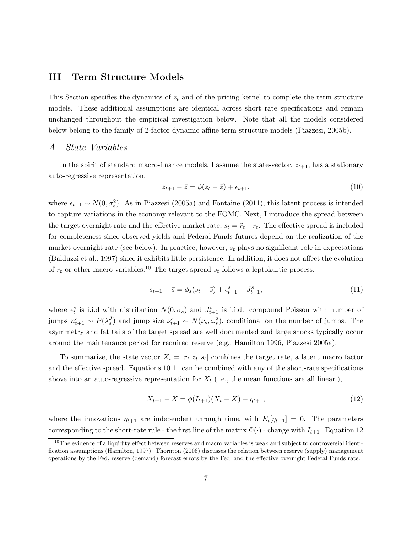## **III Term Structure Models**

This Section specifies the dynamics of *z<sup>t</sup>* and of the pricing kernel to complete the term structure models. These additional assumptions are identical across short rate specifications and remain unchanged throughout the empirical investigation below. Note that all the models considered below belong to the family of 2-factor dynamic affine term structure models (Piazzesi, 2005b).

## *A State Variables*

In the spirit of standard macro-finance models, I assume the state-vector,  $z_{t+1}$ , has a stationary auto-regressive representation,

$$
z_{t+1} - \bar{z} = \phi(z_t - \bar{z}) + \epsilon_{t+1},\tag{10}
$$

where  $\epsilon_{t+1} \sim N(0, \sigma_z^2)$ . As in Piazzesi (2005a) and Fontaine (2011), this latent process is intended to capture variations in the economy relevant to the FOMC. Next, I introduce the spread between the target overnight rate and the effective market rate,  $s_t = \tilde{r}_t - r_t$ . The effective spread is included for completeness since observed yields and Federal Funds futures depend on the realization of the market overnight rate (see below). In practice, however, *s<sup>t</sup>* plays no significant role in expectations (Balduzzi et al., 1997) since it exhibits little persistence. In addition, it does not affect the evolution of  $r_t$  or other macro variables.<sup>10</sup> The target spread  $s_t$  follows a leptokurtic process,

$$
s_{t+1} - \bar{s} = \phi_s(s_t - \bar{s}) + \epsilon_{t+1}^s + J_{t+1}^s,\tag{11}
$$

where  $\epsilon_t^s$  is i.i.d with distribution  $N(0, \sigma_s)$  and  $J_{t+1}^s$  is i.i.d. compound Poisson with number of jumps  $n_{t+1}^s \sim P(\lambda_s^J)$  and jump size  $\nu_{t+1}^s \sim N(\nu_s, \omega_s^2)$ , conditional on the number of jumps. The asymmetry and fat tails of the target spread are well documented and large shocks typically occur around the maintenance period for required reserve (e.g., Hamilton 1996, Piazzesi 2005a).

To summarize, the state vector  $X_t = [r_t z_t s_t]$  combines the target rate, a latent macro factor and the effective spread. Equations 10 11 can be combined with any of the short-rate specifications above into an auto-regressive representation for  $X_t$  (i.e., the mean functions are all linear.),

$$
X_{t+1} - \bar{X} = \phi(I_{t+1})(X_t - \bar{X}) + \eta_{t+1},
$$
\n(12)

where the innovations  $\eta_{t+1}$  are independent through time, with  $E_t[\eta_{t+1}] = 0$ . The parameters corresponding to the short-rate rule - the first line of the matrix  $\Phi(\cdot)$  - change with  $I_{t+1}$ . Equation 12

 $10$ The evidence of a liquidity effect between reserves and macro variables is weak and subject to controversial identification assumptions (Hamilton, 1997). Thornton (2006) discusses the relation between reserve (supply) management operations by the Fed, reserve (demand) forecast errors by the Fed, and the effective overnight Federal Funds rate.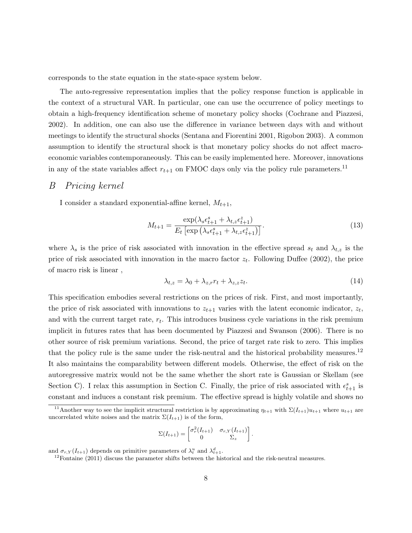corresponds to the state equation in the state-space system below.

The auto-regressive representation implies that the policy response function is applicable in the context of a structural VAR. In particular, one can use the occurrence of policy meetings to obtain a high-frequency identification scheme of monetary policy shocks (Cochrane and Piazzesi, 2002). In addition, one can also use the difference in variance between days with and without meetings to identify the structural shocks (Sentana and Fiorentini 2001, Rigobon 2003). A common assumption to identify the structural shock is that monetary policy shocks do not affect macroeconomic variables contemporaneously. This can be easily implemented here. Moreover, innovations in any of the state variables affect  $r_{t+1}$  on FMOC days only via the policy rule parameters.<sup>11</sup>

#### *B Pricing kernel*

I consider a standard exponential-affine kernel,  $M_{t+1}$ ,

$$
M_{t+1} = \frac{\exp(\lambda_s \epsilon_{t+1}^s + \lambda_{t,z} \epsilon_{t+1}^z)}{E_t \left[ \exp\left(\lambda_s \epsilon_{t+1}^s + \lambda_{t,z} \epsilon_{t+1}^z\right) \right]}.
$$
\n(13)

where  $\lambda_s$  is the price of risk associated with innovation in the effective spread  $s_t$  and  $\lambda_{t,z}$  is the price of risk associated with innovation in the macro factor  $z_t$ . Following Duffee (2002), the price of macro risk is linear ,

$$
\lambda_{t,z} = \lambda_0 + \lambda_{z,r} r_t + \lambda_{z,z} z_t.
$$
\n(14)

This specification embodies several restrictions on the prices of risk. First, and most importantly, the price of risk associated with innovations to  $z_{t+1}$  varies with the latent economic indicator,  $z_t$ , and with the current target rate, *r<sup>t</sup>* . This introduces business cycle variations in the risk premium implicit in futures rates that has been documented by Piazzesi and Swanson (2006). There is no other source of risk premium variations. Second, the price of target rate risk to zero. This implies that the policy rule is the same under the risk-neutral and the historical probability measures.<sup>12</sup> It also maintains the comparability between different models. Otherwise, the effect of risk on the autoregressive matrix would not be the same whether the short rate is Gaussian or Skellam (see Section C). I relax this assumption in Section C. Finally, the price of risk associated with  $\epsilon_{t+1}^s$  is constant and induces a constant risk premium. The effective spread is highly volatile and shows no

$$
\Sigma(I_{t+1}) = \begin{bmatrix} \sigma_r^2(I_{t+1}) & \sigma_{r,Y}(I_{t+1}) \\ 0 & \Sigma_z \end{bmatrix}.
$$

and  $\sigma_{r,Y}(I_{t+1})$  depends on primitive parameters of  $\lambda_t^u$  and  $\lambda_{t+1}^d$ .

 $12$ Fontaine (2011) discuss the parameter shifts between the historical and the risk-neutral measures.

<sup>&</sup>lt;sup>11</sup>Another way to see the implicit structural restriction is by approximating  $\eta_{t+1}$  with  $\Sigma(I_{t+1})u_{t+1}$  where  $u_{t+1}$  are uncorrelated white noises and the matrix  $\Sigma(I_{t+1})$  is of the form,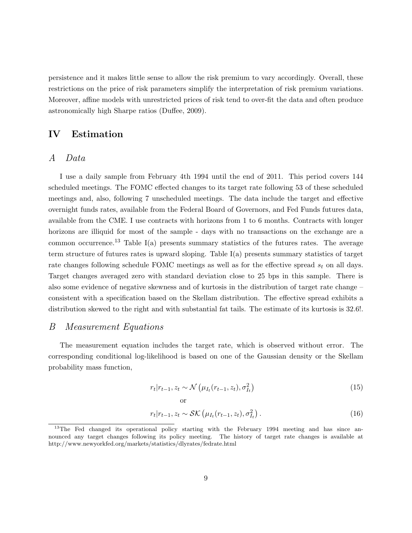persistence and it makes little sense to allow the risk premium to vary accordingly. Overall, these restrictions on the price of risk parameters simplify the interpretation of risk premium variations. Moreover, affine models with unrestricted prices of risk tend to over-fit the data and often produce astronomically high Sharpe ratios (Duffee, 2009).

## **IV Estimation**

## *A Data*

I use a daily sample from February 4th 1994 until the end of 2011. This period covers 144 scheduled meetings. The FOMC effected changes to its target rate following 53 of these scheduled meetings and, also, following 7 unscheduled meetings. The data include the target and effective overnight funds rates, available from the Federal Board of Governors, and Fed Funds futures data, available from the CME. I use contracts with horizons from 1 to 6 months. Contracts with longer horizons are illiquid for most of the sample - days with no transactions on the exchange are a common occurrence.<sup>13</sup> Table I(a) presents summary statistics of the futures rates. The average term structure of futures rates is upward sloping. Table I(a) presents summary statistics of target rate changes following schedule FOMC meetings as well as for the effective spread *s<sup>t</sup>* on all days. Target changes averaged zero with standard deviation close to 25 bps in this sample. There is also some evidence of negative skewness and of kurtosis in the distribution of target rate change – consistent with a specification based on the Skellam distribution. The effective spread exhibits a distribution skewed to the right and with substantial fat tails. The estimate of its kurtosis is 32.6!.

## *B Measurement Equations*

The measurement equation includes the target rate, which is observed without error. The corresponding conditional log-likelihood is based on one of the Gaussian density or the Skellam probability mass function,

$$
r_t|r_{t-1}, z_t \sim \mathcal{N}\left(\mu_{I_t}(r_{t-1}, z_t), \sigma_{I_t}^2\right)
$$
\n
$$
(15)
$$

$$
r_t|r_{t-1}, z_t \sim \mathcal{SK}\left(\mu_{I_t}(r_{t-1}, z_t), \sigma_{I_t}^2\right). \tag{16}
$$

or

<sup>&</sup>lt;sup>13</sup>The Fed changed its operational policy starting with the February 1994 meeting and has since announced any target changes following its policy meeting. The history of target rate changes is available at http://www.newyorkfed.org/markets/statistics/dlyrates/fedrate.html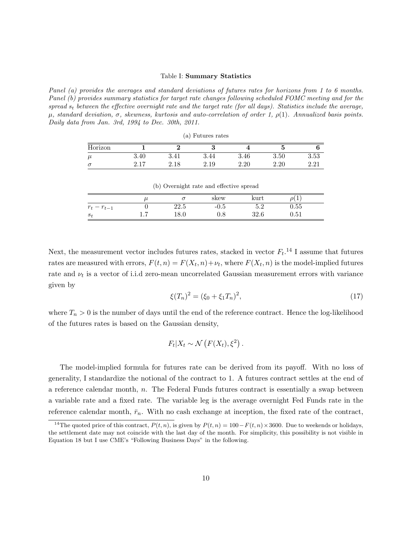#### Table I: **Summary Statistics**

*Panel (a) provides the averages and standard deviations of futures rates for horizons from 1 to 6 months. Panel (b) provides summary statistics for target rate changes following scheduled FOMC meeting and for the spread s<sup>t</sup> between the effective overnight rate and the target rate (for all days). Statistics include the average, µ, standard deviation, σ, skewness, kurtosis and auto-correlation of order 1, ρ*(1)*. Annualized basis points. Daily data from Jan. 3rd, 1994 to Dec. 30th, 2011.*

| (a) Futures rates |      |                 |          |      |          |      |  |  |
|-------------------|------|-----------------|----------|------|----------|------|--|--|
| Horizon           |      |                 |          |      | ŧ.       |      |  |  |
| $\mu$             | 3.40 | 3.41            | 3.44     | 3.46 | $3.50\,$ | 3.53 |  |  |
| $\sigma$          |      | $\Omega$<br>.18 | $2.19\,$ | 2.20 | 2.20     | റ റ1 |  |  |

(b) Overnight rate and effective spread

|            |          |          | skew      | kurt              |            |  |
|------------|----------|----------|-----------|-------------------|------------|--|
| $-r_{t-1}$ |          | 22.5     | -0.5      | $\epsilon$<br>ບ.∠ | 0.55       |  |
| $S_t$      | <b>.</b> | $18.0\,$ | $\rm 0.8$ | 32.6              | $\rm 0.51$ |  |

Next, the measurement vector includes futures rates, stacked in vector  $F_t$ <sup>14</sup> I assume that futures rates are measured with errors,  $F(t, n) = F(X_t, n) + \nu_t$ , where  $F(X_t, n)$  is the model-implied futures rate and *ν<sup>t</sup>* is a vector of i.i.d zero-mean uncorrelated Gaussian measurement errors with variance given by

$$
\xi(T_n)^2 = (\xi_0 + \xi_1 T_n)^2,\tag{17}
$$

where  $T_n > 0$  is the number of days until the end of the reference contract. Hence the log-likelihood of the futures rates is based on the Gaussian density,

$$
F_t|X_t \sim \mathcal{N}\left(F(X_t), \xi^2\right).
$$

The model-implied formula for futures rate can be derived from its payoff. With no loss of generality, I standardize the notional of the contract to 1. A futures contract settles at the end of a reference calendar month, *n*. The Federal Funds futures contract is essentially a swap between a variable rate and a fixed rate. The variable leg is the average overnight Fed Funds rate in the reference calendar month,  $\bar{r}_n$ . With no cash exchange at inception, the fixed rate of the contract,

<sup>&</sup>lt;sup>14</sup>The quoted price of this contract,  $P(t, n)$ , is given by  $P(t, n) = 100 - F(t, n) \times 3600$ . Due to weekends or holidays, the settlement date may not coincide with the last day of the month. For simplicity, this possibility is not visible in Equation 18 but I use CME's "Following Business Days" in the following.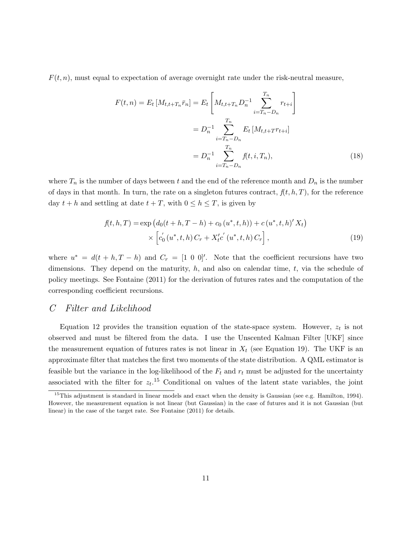$F(t, n)$ , must equal to expectation of average overnight rate under the risk-neutral measure,

$$
F(t,n) = E_t \left[ M_{t,t+T_n} \bar{r}_n \right] = E_t \left[ M_{t,t+T_n} D_n^{-1} \sum_{i=T_n - D_n}^{T_n} r_{t+i} \right]
$$
  

$$
= D_n^{-1} \sum_{i=T_n - D_n}^{T_n} E_t \left[ M_{t,t+T} r_{t+i} \right]
$$
  

$$
= D_n^{-1} \sum_{i=T_n - D_n}^{T_n} f(t,i,T_n), \qquad (18)
$$

where  $T_n$  is the number of days between t and the end of the reference month and  $D_n$  is the number of days in that month. In turn, the rate on a singleton futures contract,  $f(t, h, T)$ , for the reference day  $t + h$  and settling at date  $t + T$ , with  $0 \leq h \leq T$ , is given by

$$
f(t, h, T) = \exp (d_0(t + h, T - h) + c_0(u^*, t, h)) + c (u^*, t, h)' X_t)
$$
  
 
$$
\times \left[ c'_0(u^*, t, h) C_r + X'_t c'(u^*, t, h) C_r \right],
$$
 (19)

where  $u^* = d(t + h, T - h)$  and  $C_r = [1 \ 0 \ 0]'$ . Note that the coefficient recursions have two dimensions. They depend on the maturity, *h*, and also on calendar time, *t*, via the schedule of policy meetings. See Fontaine (2011) for the derivation of futures rates and the computation of the corresponding coefficient recursions.

## *C Filter and Likelihood*

Equation 12 provides the transition equation of the state-space system. However, *z<sup>t</sup>* is not observed and must be filtered from the data. I use the Unscented Kalman Filter [UKF] since the measurement equation of futures rates is not linear in  $X_t$  (see Equation 19). The UKF is an approximate filter that matches the first two moments of the state distribution. A QML estimator is feasible but the variance in the log-likelihood of the  $F_t$  and  $r_t$  must be adjusted for the uncertainty associated with the filter for  $z_t$ <sup>15</sup> Conditional on values of the latent state variables, the joint

 $15$ This adjustment is standard in linear models and exact when the density is Gaussian (see e.g. Hamilton, 1994). However, the measurement equation is not linear (but Gaussian) in the case of futures and it is not Gaussian (but linear) in the case of the target rate. See Fontaine (2011) for details.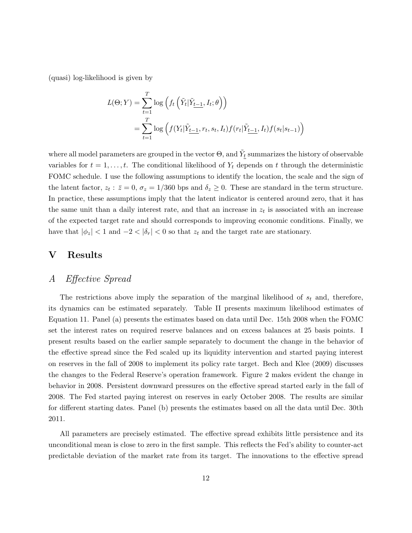(quasi) log-likelihood is given by

$$
L(\Theta;Y) = \sum_{t=1}^{T} \log \left( f_t \left( \tilde{Y}_t | \tilde{Y}_{t-1}, I_t; \theta \right) \right)
$$
  
= 
$$
\sum_{t=1}^{T} \log \left( f(Y_t | \tilde{Y}_{t-1}, r_t, s_t, I_t) f(r_t | \tilde{Y}_{t-1}, I_t) f(s_t | s_{t-1}) \right)
$$

where all model parameters are grouped in the vector  $\Theta,$  and  $\tilde{Y}_t$  summarizes the history of observable variables for  $t = 1, \ldots, t$ . The conditional likelihood of  $Y_t$  depends on  $t$  through the deterministic FOMC schedule. I use the following assumptions to identify the location, the scale and the sign of the latent factor,  $z_t$ :  $\bar{z} = 0$ ,  $\sigma_z = 1/360$  bps and  $\delta_z \ge 0$ . These are standard in the term structure. In practice, these assumptions imply that the latent indicator is centered around zero, that it has the same unit than a daily interest rate, and that an increase in  $z_t$  is associated with an increase of the expected target rate and should corresponds to improving economic conditions. Finally, we have that  $|\phi_z| < 1$  and  $-2 < |\delta_r| < 0$  so that  $z_t$  and the target rate are stationary.

## **V Results**

# *A Effective Spread*

The restrictions above imply the separation of the marginal likelihood of *s<sup>t</sup>* and, therefore, its dynamics can be estimated separately. Table II presents maximum likelihood estimates of Equation 11. Panel (a) presents the estimates based on data until Dec. 15th 2008 when the FOMC set the interest rates on required reserve balances and on excess balances at 25 basis points. I present results based on the earlier sample separately to document the change in the behavior of the effective spread since the Fed scaled up its liquidity intervention and started paying interest on reserves in the fall of 2008 to implement its policy rate target. Bech and Klee (2009) discusses the changes to the Federal Reserve's operation framework. Figure 2 makes evident the change in behavior in 2008. Persistent downward pressures on the effective spread started early in the fall of 2008. The Fed started paying interest on reserves in early October 2008. The results are similar for different starting dates. Panel (b) presents the estimates based on all the data until Dec. 30th 2011.

All parameters are precisely estimated. The effective spread exhibits little persistence and its unconditional mean is close to zero in the first sample. This reflects the Fed's ability to counter-act predictable deviation of the market rate from its target. The innovations to the effective spread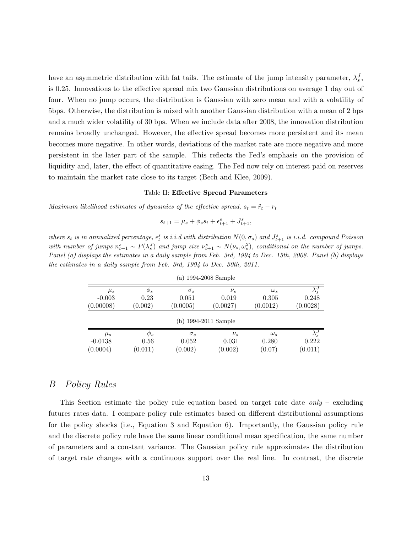have an asymmetric distribution with fat tails. The estimate of the jump intensity parameter,  $\lambda_s^J$ , is 0.25. Innovations to the effective spread mix two Gaussian distributions on average 1 day out of four. When no jump occurs, the distribution is Gaussian with zero mean and with a volatility of 5bps. Otherwise, the distribution is mixed with another Gaussian distribution with a mean of 2 bps and a much wider volatility of 30 bps. When we include data after 2008, the innovation distribution remains broadly unchanged. However, the effective spread becomes more persistent and its mean becomes more negative. In other words, deviations of the market rate are more negative and more persistent in the later part of the sample. This reflects the Fed's emphasis on the provision of liquidity and, later, the effect of quantitative easing. The Fed now rely on interest paid on reserves to maintain the market rate close to its target (Bech and Klee, 2009).

#### Table II: **Effective Spread Parameters**

*Maximum likelihood estimates of dynamics of the effective spread,*  $s_t = \tilde{r}_t - r_t$ 

$$
s_{t+1} = \mu_s + \phi_s s_t + \epsilon_{t+1}^s + J_{t+1}^s,
$$

where  $s_t$  is in annualized percentage,  $\epsilon_t^s$  is i.i.d with distribution  $N(0, \sigma_s)$  and  $J_{t+1}^s$  is i.i.d. compound Poisson with number of jumps  $n_{t+1}^s \sim P(\lambda_s^J)$  and jump size  $\nu_{t+1}^s \sim N(\nu_s, \omega_s^2)$ , conditional on the number of jumps. *Panel (a) displays the estimates in a daily sample from Feb. 3rd, 1994 to Dec. 15th, 2008. Panel (b) displays the estimates in a daily sample from Feb. 3rd, 1994 to Dec. 30th, 2011.*

| (a) 1994-2008 Sample  |                     |                     |                      |                     |                        |  |  |
|-----------------------|---------------------|---------------------|----------------------|---------------------|------------------------|--|--|
| $\mu_s$<br>$-0.003$   | $\varphi_s$<br>0.23 | $\sigma_s$<br>0.051 | $\nu_s$<br>0.019     | $\omega_s$<br>0.305 | $\lambda_s^J$<br>0.248 |  |  |
| (0.00008)             | (0.002)             | (0.0005)            | (0.0027)             | (0.0012)            | (0.0028)               |  |  |
|                       |                     |                     | (b) 1994-2011 Sample |                     |                        |  |  |
| $\mu_s$               | $\varphi_s$         | $\sigma_s$          | $\nu_s$              | $\omega_s$          | $\lambda_s^J$          |  |  |
| $-0.0138$<br>(0.0004) | 0.56<br>(0.011)     | 0.052<br>(0.002)    | 0.031<br>(0.002)     | 0.280<br>(0.07)     | 0.222<br>(0.011)       |  |  |

## *B Policy Rules*

This Section estimate the policy rule equation based on target rate date *only* – excluding futures rates data. I compare policy rule estimates based on different distributional assumptions for the policy shocks (i.e., Equation 3 and Equation 6). Importantly, the Gaussian policy rule and the discrete policy rule have the same linear conditional mean specification, the same number of parameters and a constant variance. The Gaussian policy rule approximates the distribution of target rate changes with a continuous support over the real line. In contrast, the discrete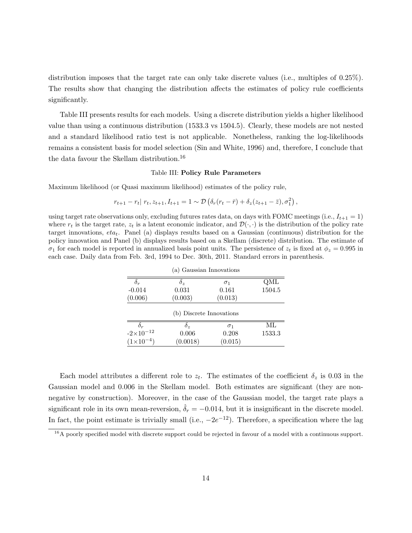distribution imposes that the target rate can only take discrete values (i.e., multiples of 0.25%). The results show that changing the distribution affects the estimates of policy rule coefficients significantly.

Table III presents results for each models. Using a discrete distribution yields a higher likelihood value than using a continuous distribution (1533.3 vs 1504.5). Clearly, these models are not nested and a standard likelihood ratio test is not applicable. Nonetheless, ranking the log-likelihoods remains a consistent basis for model selection (Sin and White, 1996) and, therefore, I conclude that the data favour the Skellam distribution.<sup>16</sup>

#### Table III: **Policy Rule Parameters**

Maximum likelihood (or Quasi maximum likelihood) estimates of the policy rule,

$$
r_{t+1} - r_t | r_t, z_{t+1}, I_{t+1} = 1 \sim \mathcal{D} \left( \delta_r (r_t - \bar{r}) + \delta_z (z_{t+1} - \bar{z}), \sigma_1^2 \right),
$$

using target rate observations only, excluding futures rates data, on days with FOMC meetings (i.e.,  $I_{t+1} = 1$ ) where  $r_t$  is the target rate,  $z_t$  is a latent economic indicator, and  $\mathcal{D}(\cdot, \cdot)$  is the distribution of the policy rate target innovations, *etat*. Panel (a) displays results based on a Gaussian (continuous) distribution for the policy innovation and Panel (b) displays results based on a Skellam (discrete) distribution. The estimate of  $\sigma_1$  for each model is reported in annualized basis point units. The persistence of  $z_t$  is fixed at  $\phi_z = 0.995$  in each case. Daily data from Feb. 3rd, 1994 to Dec. 30th, 2011. Standard errors in parenthesis.

|                          | (a) Gaussian Innovations |            |        |  |  |  |
|--------------------------|--------------------------|------------|--------|--|--|--|
| $\delta_r$               | $\delta_z$               | $\sigma_1$ | QML    |  |  |  |
| $-0.014$                 | 0.031                    | 0.161      | 1504.5 |  |  |  |
| (0.006)                  | (0.003)                  | (0.013)    |        |  |  |  |
| (b) Discrete Innovations |                          |            |        |  |  |  |
| $\delta_r$               | $\delta_z$               | $\sigma_1$ | МL     |  |  |  |
| $-2\times10^{-12}$       | 0.006                    | 0.208      | 1533.3 |  |  |  |
| $(1\times10^{-4})$       | (0.0018)                 | (0.015)    |        |  |  |  |

Each model attributes a different role to  $z_t$ . The estimates of the coefficient  $\delta_z$  is 0.03 in the Gaussian model and 0.006 in the Skellam model. Both estimates are significant (they are nonnegative by construction). Moreover, in the case of the Gaussian model, the target rate plays a significant role in its own mean-reversion,  $\hat{\delta}_r = -0.014$ , but it is insignificant in the discrete model. In fact, the point estimate is trivially small (i.e., *−*2*e <sup>−</sup>*12). Therefore, a specification where the lag

 $16A$  poorly specified model with discrete support could be rejected in favour of a model with a continuous support.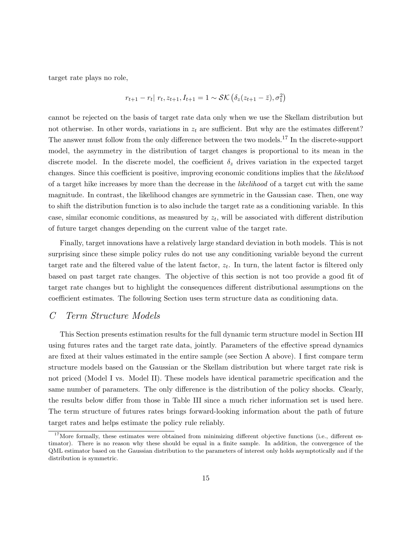target rate plays no role,

$$
r_{t+1} - r_t | r_t, z_{t+1}, I_{t+1} = 1 \sim \mathcal{SK} (\delta_z (z_{t+1} - \bar{z}), \sigma_1^2)
$$

cannot be rejected on the basis of target rate data only when we use the Skellam distribution but not otherwise. In other words, variations in  $z_t$  are sufficient. But why are the estimates different? The answer must follow from the only difference between the two models.<sup>17</sup> In the discrete-support model, the asymmetry in the distribution of target changes is proportional to its mean in the discrete model. In the discrete model, the coefficient  $\delta_z$  drives variation in the expected target changes. Since this coefficient is positive, improving economic conditions implies that the *likelihood* of a target hike increases by more than the decrease in the *likelihood* of a target cut with the same magnitude. In contrast, the likelihood changes are symmetric in the Gaussian case. Then, one way to shift the distribution function is to also include the target rate as a conditioning variable. In this case, similar economic conditions, as measured by  $z_t$ , will be associated with different distribution of future target changes depending on the current value of the target rate.

Finally, target innovations have a relatively large standard deviation in both models. This is not surprising since these simple policy rules do not use any conditioning variable beyond the current target rate and the filtered value of the latent factor, *z<sup>t</sup>* . In turn, the latent factor is filtered only based on past target rate changes. The objective of this section is not too provide a good fit of target rate changes but to highlight the consequences different distributional assumptions on the coefficient estimates. The following Section uses term structure data as conditioning data.

## *C Term Structure Models*

This Section presents estimation results for the full dynamic term structure model in Section III using futures rates and the target rate data, jointly. Parameters of the effective spread dynamics are fixed at their values estimated in the entire sample (see Section A above). I first compare term structure models based on the Gaussian or the Skellam distribution but where target rate risk is not priced (Model I vs. Model II). These models have identical parametric specification and the same number of parameters. The only difference is the distribution of the policy shocks. Clearly, the results below differ from those in Table III since a much richer information set is used here. The term structure of futures rates brings forward-looking information about the path of future target rates and helps estimate the policy rule reliably.

<sup>&</sup>lt;sup>17</sup>More formally, these estimates were obtained from minimizing different objective functions (i.e., different estimator). There is no reason why these should be equal in a finite sample. In addition, the convergence of the QML estimator based on the Gaussian distribution to the parameters of interest only holds asymptotically and if the distribution is symmetric.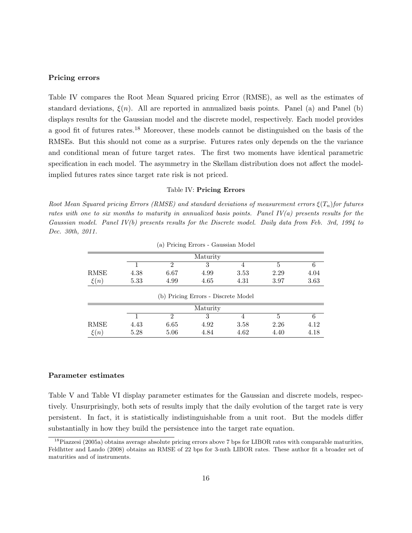#### **Pricing errors**

Table IV compares the Root Mean Squared pricing Error (RMSE), as well as the estimates of standard deviations,  $\xi(n)$ . All are reported in annualized basis points. Panel (a) and Panel (b) displays results for the Gaussian model and the discrete model, respectively. Each model provides a good fit of futures rates.<sup>18</sup> Moreover, these models cannot be distinguished on the basis of the RMSEs. But this should not come as a surprise. Futures rates only depends on the the variance and conditional mean of future target rates. The first two moments have identical parametric specification in each model. The asymmetry in the Skellam distribution does not affect the modelimplied futures rates since target rate risk is not priced.

#### Table IV: **Pricing Errors**

*Root Mean Squared pricing Errors (RMSE) and standard deviations of measurement errors ξ*(*Tn*)*for futures rates with one to six months to maturity in annualized basis points. Panel IV(a) presents results for the Gaussian model. Panel IV(b) presents results for the Discrete model. Daily data from Feb. 3rd, 1994 to Dec. 30th, 2011.*

|          |          |          | (a) I Heing Eirors - Gaussian Moder |      |      |      |  |  |  |
|----------|----------|----------|-------------------------------------|------|------|------|--|--|--|
|          | Maturity |          |                                     |      |      |      |  |  |  |
|          |          | $\Omega$ | 3                                   | 4    | 5    | 6    |  |  |  |
| RMSE     | 4.38     | 6.67     | 4.99                                | 3.53 | 2.29 | 4.04 |  |  |  |
| $\xi(n)$ | 5.33     | 4.99     | 4.65                                | 4.31 | 3.97 | 3.63 |  |  |  |
|          |          |          | (b) Pricing Errors - Discrete Model |      |      |      |  |  |  |
|          |          |          | Maturity                            |      |      |      |  |  |  |
|          |          | $\Omega$ | 3                                   |      | 5    | 6    |  |  |  |
| RMSE     | 4.43     | 6.65     | 4.92                                | 3.58 | 2.26 | 4.12 |  |  |  |
| $\xi(n)$ | 5.28     | 5.06     | 4.84                                | 4.62 | 4.40 | 4.18 |  |  |  |

(a) Pricing Errors - Gaussian Model

#### **Parameter estimates**

Table V and Table VI display parameter estimates for the Gaussian and discrete models, respectively. Unsurprisingly, both sets of results imply that the daily evolution of the target rate is very persistent. In fact, it is statistically indistinguishable from a unit root. But the models differ substantially in how they build the persistence into the target rate equation.

 $^{18}$ Piazzesi (2005a) obtains average absolute pricing errors above 7 bps for LIBOR rates with comparable maturities, Feldhtter and Lando (2008) obtains an RMSE of 22 bps for 3-mth LIBOR rates. These author fit a broader set of maturities and of instruments.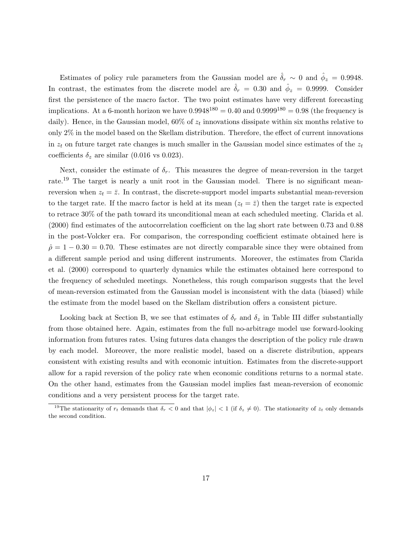Estimates of policy rule parameters from the Gaussian model are  $\hat{\delta}_r \sim 0$  and  $\hat{\phi}_z = 0.9948$ . In contrast, the estimates from the discrete model are  $\hat{\delta}_r = 0.30$  and  $\hat{\phi}_z = 0.9999$ . Consider first the persistence of the macro factor. The two point estimates have very different forecasting implications. At a 6-month horizon we have  $0.9948^{180} = 0.40$  and  $0.9999^{180} = 0.98$  (the frequency is daily). Hence, in the Gaussian model,  $60\%$  of  $z_t$  innovations dissipate within six months relative to only 2% in the model based on the Skellam distribution. Therefore, the effect of current innovations in  $z_t$  on future target rate changes is much smaller in the Gaussian model since estimates of the  $z_t$ coefficients  $\delta_z$  are similar (0.016 vs 0.023).

Next, consider the estimate of  $\delta_r$ . This measures the degree of mean-reversion in the target rate.<sup>19</sup> The target is nearly a unit root in the Gaussian model. There is no significant meanreversion when  $z_t = \bar{z}$ . In contrast, the discrete-support model imparts substantial mean-reversion to the target rate. If the macro factor is held at its mean  $(z_t = \bar{z})$  then the target rate is expected to retrace 30% of the path toward its unconditional mean at each scheduled meeting. Clarida et al. (2000) find estimates of the autocorrelation coefficient on the lag short rate between 0.73 and 0.88 in the post-Volcker era. For comparison, the corresponding coefficient estimate obtained here is  $\hat{\rho}$  = 1 − 0.30 = 0.70. These estimates are not directly comparable since they were obtained from a different sample period and using different instruments. Moreover, the estimates from Clarida et al. (2000) correspond to quarterly dynamics while the estimates obtained here correspond to the frequency of scheduled meetings. Nonetheless, this rough comparison suggests that the level of mean-reversion estimated from the Gaussian model is inconsistent with the data (biased) while the estimate from the model based on the Skellam distribution offers a consistent picture.

Looking back at Section B, we see that estimates of  $\delta_r$  and  $\delta_z$  in Table III differ substantially from those obtained here. Again, estimates from the full no-arbitrage model use forward-looking information from futures rates. Using futures data changes the description of the policy rule drawn by each model. Moreover, the more realistic model, based on a discrete distribution, appears consistent with existing results and with economic intuition. Estimates from the discrete-support allow for a rapid reversion of the policy rate when economic conditions returns to a normal state. On the other hand, estimates from the Gaussian model implies fast mean-reversion of economic conditions and a very persistent process for the target rate.

<sup>&</sup>lt;sup>19</sup>The stationarity of  $r_t$  demands that  $\delta_r < 0$  and that  $|\phi_z| < 1$  (if  $\delta_z \neq 0$ ). The stationarity of  $z_t$  only demands the second condition.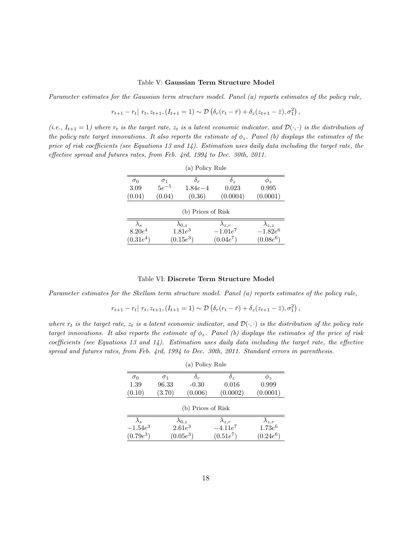#### Table V: **Gaussian Term Structure Model**

*Parameter estimates for the Gaussian term structure model. Panel (a) reports estimates of the policy rule,*

$$
r_{t+1} - r_t | r_t, z_{t+1}, (I_{t+1} = 1) \sim \mathcal{D} \left( \delta_r (r_t - \bar{r}) + \delta_z (z_{t+1} - \bar{z}), \sigma_1^2 \right),
$$

 $(i.e., I_{t+1} = 1)$  where  $r_t$  is the target rate,  $z_t$  is a latent economic indicator, and  $\mathcal{D}(\cdot, \cdot)$  is the distribution of *the policy rate target innovations. It also reports the estimate of*  $\phi_z$ *. Panel (b) displays the estimates of the price of risk coefficients (see Equations 13 and 14). Estimation uses daily data including the target rate, the effective spread and futures rates, from Feb. 4rd, 1994 to Dec. 30th, 2011.*

| (a) Policy Rule |                    |                               |                 |                    |  |  |  |  |
|-----------------|--------------------|-------------------------------|-----------------|--------------------|--|--|--|--|
| $\sigma_0$      | $\sigma_1$         | $\delta_r$                    | δ,              | $\varphi_{\bm{z}}$ |  |  |  |  |
| 3.09            | $5e^{-5}$          | $1.84e - 4$                   | 0.023           | 0.995              |  |  |  |  |
| (0.04)          | (0.04)             | (0.36)                        | (0.0004)        | (0.0001)           |  |  |  |  |
|                 | (b) Prices of Risk |                               |                 |                    |  |  |  |  |
| $\lambda_s$     |                    |                               | $\lambda_{z,r}$ | $\lambda_{z,z}$    |  |  |  |  |
| $8.20e^4$       |                    | $\lambda_{0,z}$<br>1.81 $e^3$ | $-1.01e^7$      | $-1.82e^{6}$       |  |  |  |  |
| $(0.31e^4)$     |                    | $(0.15e^{3})$                 | $(0.04e^7)$     | $(0.08e^6)$        |  |  |  |  |

#### Table VI: **Discrete Term Structure Model**

*Parameter estimates for the Skellam term structure model. Panel (a) reports estimates of the policy rule,*

$$
r_{t+1} - r_t | r_t, z_{t+1}, (I_{t+1} = 1) \sim \mathcal{D} \left( \delta_r (r_t - \bar{r}) + \delta_z (z_{t+1} - \bar{z}), \sigma_1^2 \right),
$$

*where*  $r_t$  *is the target rate,*  $z_t$  *is a latent economic indicator, and*  $\mathcal{D}(\cdot, \cdot)$  *is the distribution of the policy rate target innovations. It also reports the estimate of ϕz. Panel (b) displays the estimates of the price of risk coefficients (see Equations 13 and 14). Estimation uses daily data including the target rate, the effective spread and futures rates, from Feb. 4rd, 1994 to Dec. 30th, 2011. Standard errors in parenthesis.*

| (a) Policy Rule |                    |                 |                 |                    |  |  |  |  |
|-----------------|--------------------|-----------------|-----------------|--------------------|--|--|--|--|
| $\sigma_0$      | $\sigma_1$         | $\delta_r$      | $\delta_z$      | $\varphi_{\bm{z}}$ |  |  |  |  |
| 1.39            | 96.33              | $-0.30$         | 0.016           | 0.999              |  |  |  |  |
| (0.10)          | (3.70)             | (0.006)         | (0.0002)        | (0.0001)           |  |  |  |  |
|                 | (b) Prices of Risk |                 |                 |                    |  |  |  |  |
| $\lambda_s$     |                    | $\lambda_{0,z}$ | $\lambda_{z,r}$ | $\lambda_{z,r}$    |  |  |  |  |
| $-1.54e^{3}$    |                    | $2.61e^3$       | $-4.11e^7$      | $1.73e^{6}$        |  |  |  |  |
| $(0.79e^3)$     |                    | $(0.05e^{3})$   | $(0.51e^7)$     | $(0.24e^6)$        |  |  |  |  |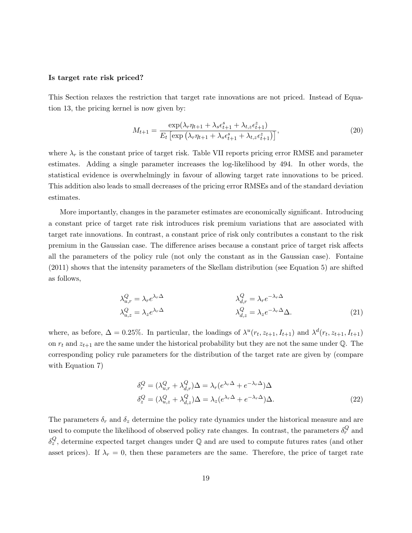#### **Is target rate risk priced?**

This Section relaxes the restriction that target rate innovations are not priced. Instead of Equation 13, the pricing kernel is now given by:

$$
M_{t+1} = \frac{\exp(\lambda_r \eta_{t+1} + \lambda_s \epsilon_{t+1}^s + \lambda_{t,z} \epsilon_{t+1}^s)}{E_t \left[ \exp\left(\lambda_r \eta_{t+1} + \lambda_s \epsilon_{t+1}^s + \lambda_{t,z} \epsilon_{t+1}^s \right) \right]},
$$
\n(20)

where  $\lambda_r$  is the constant price of target risk. Table VII reports pricing error RMSE and parameter estimates. Adding a single parameter increases the log-likelihood by 494. In other words, the statistical evidence is overwhelmingly in favour of allowing target rate innovations to be priced. This addition also leads to small decreases of the pricing error RMSEs and of the standard deviation estimates.

More importantly, changes in the parameter estimates are economically significant. Introducing a constant price of target rate risk introduces risk premium variations that are associated with target rate innovations. In contrast, a constant price of risk only contributes a constant to the risk premium in the Gaussian case. The difference arises because a constant price of target risk affects all the parameters of the policy rule (not only the constant as in the Gaussian case). Fontaine (2011) shows that the intensity parameters of the Skellam distribution (see Equation 5) are shifted as follows,

$$
\lambda_{u,r}^Q = \lambda_r e^{\lambda_r \Delta} \qquad \qquad \lambda_{d,r}^Q = \lambda_r e^{-\lambda_r \Delta} \qquad \qquad \lambda_{d,z}^Q = \lambda_z e^{-\lambda_r \Delta} \Delta. \tag{21}
$$

where, as before,  $\Delta = 0.25\%$ . In particular, the loadings of  $\lambda^u(r_t, z_{t+1}, I_{t+1})$  and  $\lambda^d(r_t, z_{t+1}, I_{t+1})$ on  $r_t$  and  $z_{t+1}$  are the same under the historical probability but they are not the same under  $\mathbb{Q}$ . The corresponding policy rule parameters for the distribution of the target rate are given by (compare with Equation 7)

$$
\delta_r^Q = (\lambda_{u,r}^Q + \lambda_{d,r}^Q) \Delta = \lambda_r (e^{\lambda_r \Delta} + e^{-\lambda_r \Delta}) \Delta
$$
  

$$
\delta_z^Q = (\lambda_{u,z}^Q + \lambda_{d,z}^Q) \Delta = \lambda_z (e^{\lambda_r \Delta} + e^{-\lambda_r \Delta}) \Delta.
$$
 (22)

The parameters  $\delta_r$  and  $\delta_z$  determine the policy rate dynamics under the historical measure and are used to compute the likelihood of observed policy rate changes. In contrast, the parameters  $\delta_r^Q$  and  $\delta_z^Q$ , determine expected target changes under  $\mathbb Q$  and are used to compute futures rates (and other asset prices). If  $\lambda_r = 0$ , then these parameters are the same. Therefore, the price of target rate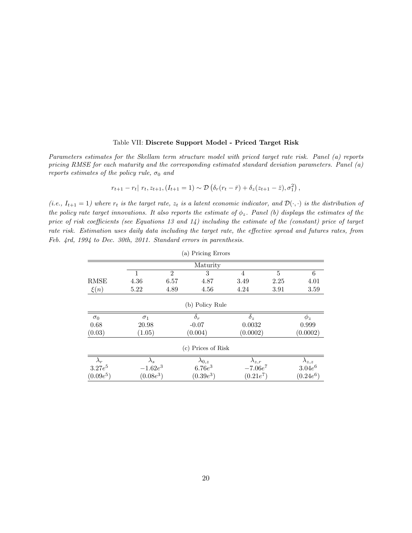#### Table VII: **Discrete Support Model - Priced Target Risk**

*Parameters estimates for the Skellam term structure model with priced target rate risk. Panel (a) reports pricing RMSE for each maturity and the corresponding estimated standard deviation parameters. Panel (a) reports estimates of the policy rule,*  $\sigma_0$  *and* 

$$
r_{t+1} - r_t | r_t, z_{t+1}, (I_{t+1} = 1) \sim \mathcal{D} \left( \delta_r (r_t - \bar{r}) + \delta_z (z_{t+1} - \bar{z}), \sigma_1^2 \right),
$$

 $(i.e., I_{t+1} = 1)$  where  $r_t$  is the target rate,  $z_t$  is a latent economic indicator, and  $\mathcal{D}(\cdot, \cdot)$  is the distribution of *the policy rate target innovations. It also reports the estimate of*  $\phi_z$ *. Panel (b) displays the estimates of the price of risk coefficients (see Equations 13 and 14) including the estimate of the (constant) price of target rate risk. Estimation uses daily data including the target rate, the effective spread and futures rates, from Feb. 4rd, 1994 to Dec. 30th, 2011. Standard errors in parenthesis.*

|             |              |                | (a) Pricing Errors |                 |                |                 |
|-------------|--------------|----------------|--------------------|-----------------|----------------|-----------------|
|             |              |                | Maturity           |                 |                |                 |
|             |              | $\overline{2}$ | 3                  | 4               | $\overline{5}$ | 6               |
| RMSE        | 4.36         | 6.57           | 4.87               | 3.49            | 2.25           | 4.01            |
| $\xi(n)$    | 5.22         | 4.89           | 4.56               | 4.24            | 3.91           | 3.59            |
|             |              |                | (b) Policy Rule    |                 |                |                 |
| $\sigma_0$  | $\sigma_1$   |                | $\delta_r$         |                 |                | $\phi_z$        |
| 0.68        | 20.98        |                | $-0.07$            |                 | 0.0032         |                 |
| (0.03)      | (1.05)       |                | (0.004)            | (0.0002)        |                | (0.0002)        |
|             |              |                | (c) Prices of Risk |                 |                |                 |
| $\lambda_r$ | $\lambda_s$  |                | $\lambda_{0,z}$    | $\lambda_{z,r}$ |                | $\lambda_{z,z}$ |
| $3.27e^{5}$ | $-1.62e^{3}$ |                | $6.76e^{3}$        |                 | $-7.06e^7$     | $3.04e^{6}$     |
| $(0.09e^5)$ | $(0.08e^3)$  |                | $(0.39e^{3})$      | $(0.21e^7)$     |                | $(0.24e^6)$     |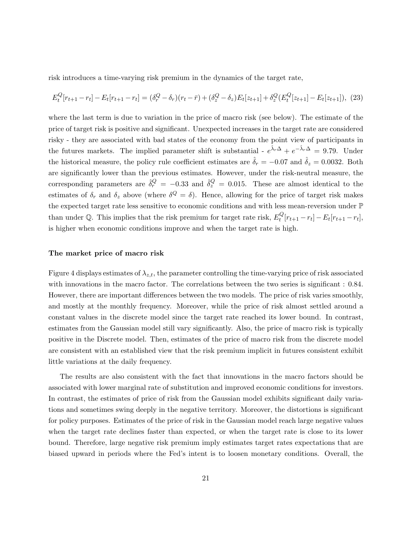risk introduces a time-varying risk premium in the dynamics of the target rate,

$$
E_t^Q[r_{t+1} - r_t] - E_t[r_{t+1} - r_t] = (\delta_r^Q - \delta_r)(r_t - \bar{r}) + (\delta_z^Q - \delta_z)E_t[z_{t+1}] + \delta_z^Q(E_t^Q[z_{t+1}] - E_t[z_{t+1}]),
$$
 (23)

where the last term is due to variation in the price of macro risk (see below). The estimate of the price of target risk is positive and significant. Unexpected increases in the target rate are considered risky - they are associated with bad states of the economy from the point view of participants in the futures markets. The implied parameter shift is substantial -  $e^{\hat{\lambda}_r\Delta} + e^{-\hat{\lambda}_r\Delta} = 9.79$ . Under the historical measure, the policy rule coefficient estimates are  $\hat{\delta}_r = -0.07$  and  $\hat{\delta}_z = 0.0032$ . Both are significantly lower than the previous estimates. However, under the risk-neutral measure, the corresponding parameters are  $\hat{\delta}^Q_r = -0.33$  and  $\hat{\delta}^Q_z = 0.015$ . These are almost identical to the estimates of  $\delta_r$  and  $\delta_z$  above (where  $\delta^Q = \delta$ ). Hence, allowing for the price of target risk makes the expected target rate less sensitive to economic conditions and with less mean-reversion under P than under  $\mathbb{Q}$ . This implies that the risk premium for target rate risk,  $E_t^Q$  $F_t^{Q}[r_{t+1} - r_t] - E_t[r_{t+1} - r_t],$ is higher when economic conditions improve and when the target rate is high.

#### **The market price of macro risk**

Figure 4 displays estimates of  $\lambda_{z,t}$ , the parameter controlling the time-varying price of risk associated with innovations in the macro factor. The correlations between the two series is significant : 0.84. However, there are important differences between the two models. The price of risk varies smoothly, and mostly at the monthly frequency. Moreover, while the price of risk almost settled around a constant values in the discrete model since the target rate reached its lower bound. In contrast, estimates from the Gaussian model still vary significantly. Also, the price of macro risk is typically positive in the Discrete model. Then, estimates of the price of macro risk from the discrete model are consistent with an established view that the risk premium implicit in futures consistent exhibit little variations at the daily frequency.

The results are also consistent with the fact that innovations in the macro factors should be associated with lower marginal rate of substitution and improved economic conditions for investors. In contrast, the estimates of price of risk from the Gaussian model exhibits significant daily variations and sometimes swing deeply in the negative territory. Moreover, the distortions is significant for policy purposes. Estimates of the price of risk in the Gaussian model reach large negative values when the target rate declines faster than expected, or when the target rate is close to its lower bound. Therefore, large negative risk premium imply estimates target rates expectations that are biased upward in periods where the Fed's intent is to loosen monetary conditions. Overall, the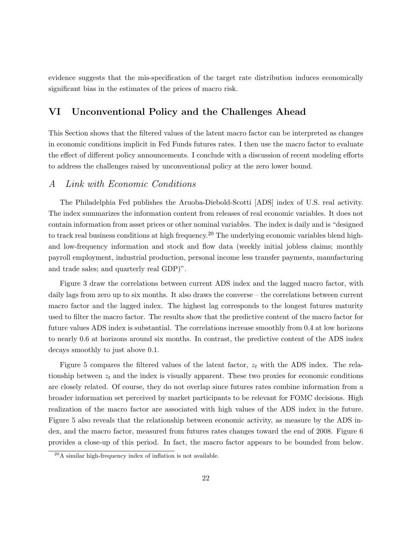evidence suggests that the mis-specification of the target rate distribution induces economically significant bias in the estimates of the prices of macro risk.

## **VI Unconventional Policy and the Challenges Ahead**

This Section shows that the filtered values of the latent macro factor can be interpreted as changes in economic conditions implicit in Fed Funds futures rates. I then use the macro factor to evaluate the effect of different policy announcements. I conclude with a discussion of recent modeling efforts to address the challenges raised by unconventional policy at the zero lower bound.

## *A Link with Economic Conditions*

The Philadelphia Fed publishes the Aruoba-Diebold-Scotti [ADS] index of U.S. real activity. The index summarizes the information content from releases of real economic variables. It does not contain information from asset prices or other nominal variables. The index is daily and is "designed to track real business conditions at high frequency.<sup>20</sup> The underlying economic variables blend highand low-frequency information and stock and flow data (weekly initial jobless claims; monthly payroll employment, industrial production, personal income less transfer payments, manufacturing and trade sales; and quarterly real GDP)".

Figure 3 draw the correlations between current ADS index and the lagged macro factor, with daily lags from zero up to six months. It also draws the converse – the correlations between current macro factor and the lagged index. The highest lag corresponds to the longest futures maturity used to filter the macro factor. The results show that the predictive content of the macro factor for future values ADS index is substantial. The correlations increase smoothly from 0.4 at low horizons to nearly 0.6 at horizons around six months. In contrast, the predictive content of the ADS index decays smoothly to just above 0.1.

Figure 5 compares the filtered values of the latent factor, *z<sup>t</sup>* with the ADS index. The relationship between  $z_t$  and the index is visually apparent. These two proxies for economic conditions are closely related. Of course, they do not overlap since futures rates combine information from a broader information set perceived by market participants to be relevant for FOMC decisions. High realization of the macro factor are associated with high values of the ADS index in the future. Figure 5 also reveals that the relationship between economic activity, as measure by the ADS index, and the macro factor, measured from futures rates changes toward the end of 2008. Figure 6 provides a close-up of this period. In fact, the macro factor appears to be bounded from below.

 $^{20}$ A similar high-frequency index of inflation is not available.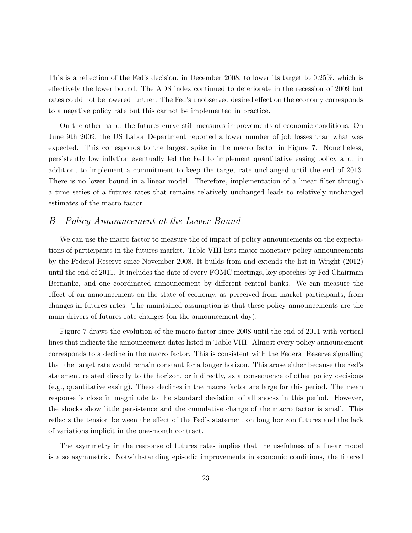This is a reflection of the Fed's decision, in December 2008, to lower its target to 0.25%, which is effectively the lower bound. The ADS index continued to deteriorate in the recession of 2009 but rates could not be lowered further. The Fed's unobserved desired effect on the economy corresponds to a negative policy rate but this cannot be implemented in practice.

On the other hand, the futures curve still measures improvements of economic conditions. On June 9th 2009, the US Labor Department reported a lower number of job losses than what was expected. This corresponds to the largest spike in the macro factor in Figure 7. Nonetheless, persistently low inflation eventually led the Fed to implement quantitative easing policy and, in addition, to implement a commitment to keep the target rate unchanged until the end of 2013. There is no lower bound in a linear model. Therefore, implementation of a linear filter through a time series of a futures rates that remains relatively unchanged leads to relatively unchanged estimates of the macro factor.

## *B Policy Announcement at the Lower Bound*

We can use the macro factor to measure the of impact of policy announcements on the expectations of participants in the futures market. Table VIII lists major monetary policy announcements by the Federal Reserve since November 2008. It builds from and extends the list in Wright (2012) until the end of 2011. It includes the date of every FOMC meetings, key speeches by Fed Chairman Bernanke, and one coordinated announcement by different central banks. We can measure the effect of an announcement on the state of economy, as perceived from market participants, from changes in futures rates. The maintained assumption is that these policy announcements are the main drivers of futures rate changes (on the announcement day).

Figure 7 draws the evolution of the macro factor since 2008 until the end of 2011 with vertical lines that indicate the announcement dates listed in Table VIII. Almost every policy announcement corresponds to a decline in the macro factor. This is consistent with the Federal Reserve signalling that the target rate would remain constant for a longer horizon. This arose either because the Fed's statement related directly to the horizon, or indirectly, as a consequence of other policy decisions (e.g., quantitative easing). These declines in the macro factor are large for this period. The mean response is close in magnitude to the standard deviation of all shocks in this period. However, the shocks show little persistence and the cumulative change of the macro factor is small. This reflects the tension between the effect of the Fed's statement on long horizon futures and the lack of variations implicit in the one-month contract.

The asymmetry in the response of futures rates implies that the usefulness of a linear model is also asymmetric. Notwithstanding episodic improvements in economic conditions, the filtered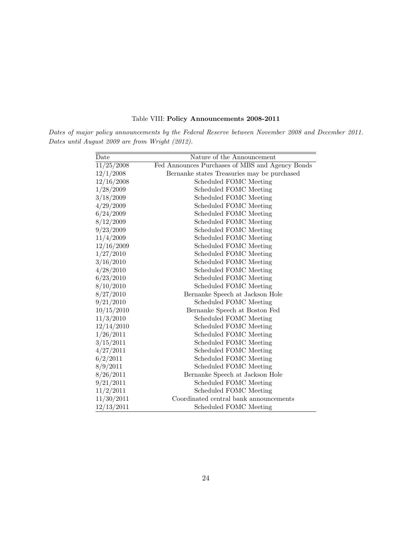|  |  |  | Table VIII: Policy Announcements 2008-2011 |  |
|--|--|--|--------------------------------------------|--|
|--|--|--|--------------------------------------------|--|

*Dates of major policy announcements by the Federal Reserve between November 2008 and December 2011. Dates until August 2009 are from Wright (2012).*

| Date       | Nature of the Announcement                      |
|------------|-------------------------------------------------|
| 11/25/2008 | Fed Announces Purchases of MBS and Agency Bonds |
| 12/1/2008  | Bernanke states Treasuries may be purchased     |
| 12/16/2008 | Scheduled FOMC Meeting                          |
| 1/28/2009  | Scheduled FOMC Meeting                          |
| 3/18/2009  | Scheduled FOMC Meeting                          |
| 4/29/2009  | Scheduled FOMC Meeting                          |
| 6/24/2009  | Scheduled FOMC Meeting                          |
| 8/12/2009  | Scheduled FOMC Meeting                          |
| 9/23/2009  | Scheduled FOMC Meeting                          |
| 11/4/2009  | Scheduled FOMC Meeting                          |
| 12/16/2009 | Scheduled FOMC Meeting                          |
| 1/27/2010  | Scheduled FOMC Meeting                          |
| 3/16/2010  | Scheduled FOMC Meeting                          |
| 4/28/2010  | Scheduled FOMC Meeting                          |
| 6/23/2010  | Scheduled FOMC Meeting                          |
| 8/10/2010  | Scheduled FOMC Meeting                          |
| 8/27/2010  | Bernanke Speech at Jackson Hole                 |
| 9/21/2010  | Scheduled FOMC Meeting                          |
| 10/15/2010 | Bernanke Speech at Boston Fed                   |
| 11/3/2010  | Scheduled FOMC Meeting                          |
| 12/14/2010 | Scheduled FOMC Meeting                          |
| 1/26/2011  | Scheduled FOMC Meeting                          |
| 3/15/2011  | Scheduled FOMC Meeting                          |
| 4/27/2011  | Scheduled FOMC Meeting                          |
| 6/2/2011   | Scheduled FOMC Meeting                          |
| 8/9/2011   | Scheduled FOMC Meeting                          |
| 8/26/2011  | Bernanke Speech at Jackson Hole                 |
| 9/21/2011  | Scheduled FOMC Meeting                          |
| 11/2/2011  | Scheduled FOMC Meeting                          |
| 11/30/2011 | Coordinated central bank announcements          |
| 12/13/2011 | Scheduled FOMC Meeting                          |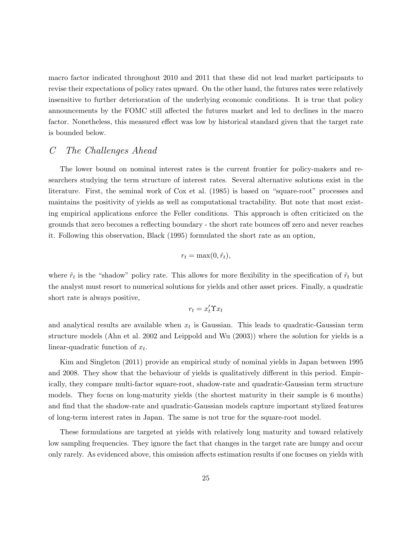macro factor indicated throughout 2010 and 2011 that these did not lead market participants to revise their expectations of policy rates upward. On the other hand, the futures rates were relatively insensitive to further deterioration of the underlying economic conditions. It is true that policy announcements by the FOMC still affected the futures market and led to declines in the macro factor. Nonetheless, this measured effect was low by historical standard given that the target rate is bounded below.

# *C The Challenges Ahead*

The lower bound on nominal interest rates is the current frontier for policy-makers and researchers studying the term structure of interest rates. Several alternative solutions exist in the literature. First, the seminal work of Cox et al. (1985) is based on "square-root" processes and maintains the positivity of yields as well as computational tractability. But note that most existing empirical applications enforce the Feller conditions. This approach is often criticized on the grounds that zero becomes a reflecting boundary - the short rate bounces off zero and never reaches it. Following this observation, Black (1995) formulated the short rate as an option,

$$
r_t = \max(0, \tilde{r}_t),
$$

where  $\tilde{r}_t$  is the "shadow" policy rate. This allows for more flexibility in the specification of  $\tilde{r}_t$  but the analyst must resort to numerical solutions for yields and other asset prices. Finally, a quadratic short rate is always positive,

$$
r_t = x_t' \Upsilon x_t
$$

and analytical results are available when  $x_t$  is Gaussian. This leads to quadratic-Gaussian term structure models (Ahn et al. 2002 and Leippold and Wu (2003)) where the solution for yields is a linear-quadratic function of *x<sup>t</sup>* .

Kim and Singleton (2011) provide an empirical study of nominal yields in Japan between 1995 and 2008. They show that the behaviour of yields is qualitatively different in this period. Empirically, they compare multi-factor square-root, shadow-rate and quadratic-Gaussian term structure models. They focus on long-maturity yields (the shortest maturity in their sample is 6 months) and find that the shadow-rate and quadratic-Gaussian models capture important stylized features of long-term interest rates in Japan. The same is not true for the square-root model.

These formulations are targeted at yields with relatively long maturity and toward relatively low sampling frequencies. They ignore the fact that changes in the target rate are lumpy and occur only rarely. As evidenced above, this omission affects estimation results if one focuses on yields with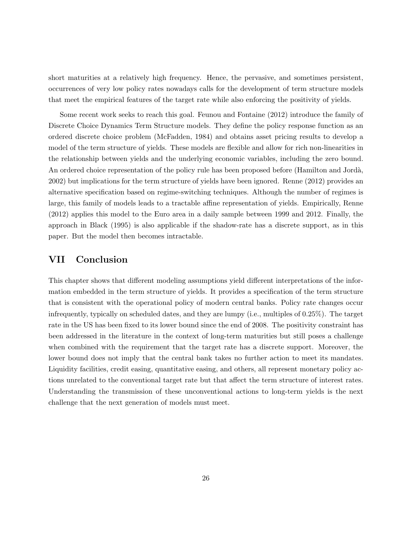short maturities at a relatively high frequency. Hence, the pervasive, and sometimes persistent, occurrences of very low policy rates nowadays calls for the development of term structure models that meet the empirical features of the target rate while also enforcing the positivity of yields.

Some recent work seeks to reach this goal. Feunou and Fontaine (2012) introduce the family of Discrete Choice Dynamics Term Structure models. They define the policy response function as an ordered discrete choice problem (McFadden, 1984) and obtains asset pricing results to develop a model of the term structure of yields. These models are flexible and allow for rich non-linearities in the relationship between yields and the underlying economic variables, including the zero bound. An ordered choice representation of the policy rule has been proposed before (Hamilton and Jordà, 2002) but implications for the term structure of yields have been ignored. Renne (2012) provides an alternative specification based on regime-switching techniques. Although the number of regimes is large, this family of models leads to a tractable affine representation of yields. Empirically, Renne (2012) applies this model to the Euro area in a daily sample between 1999 and 2012. Finally, the approach in Black (1995) is also applicable if the shadow-rate has a discrete support, as in this paper. But the model then becomes intractable.

## **VII Conclusion**

This chapter shows that different modeling assumptions yield different interpretations of the information embedded in the term structure of yields. It provides a specification of the term structure that is consistent with the operational policy of modern central banks. Policy rate changes occur infrequently, typically on scheduled dates, and they are lumpy (i.e., multiples of 0.25%). The target rate in the US has been fixed to its lower bound since the end of 2008. The positivity constraint has been addressed in the literature in the context of long-term maturities but still poses a challenge when combined with the requirement that the target rate has a discrete support. Moreover, the lower bound does not imply that the central bank takes no further action to meet its mandates. Liquidity facilities, credit easing, quantitative easing, and others, all represent monetary policy actions unrelated to the conventional target rate but that affect the term structure of interest rates. Understanding the transmission of these unconventional actions to long-term yields is the next challenge that the next generation of models must meet.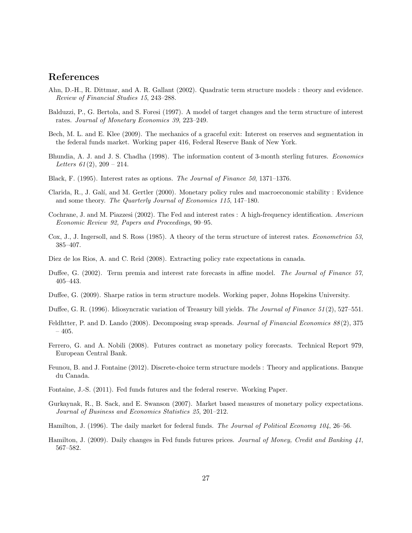## **References**

- Ahn, D.-H., R. Dittmar, and A. R. Gallant (2002). Quadratic term structure models : theory and evidence. *Review of Financial Studies 15*, 243–288.
- Balduzzi, P., G. Bertola, and S. Foresi (1997). A model of target changes and the term structure of interest rates. *Journal of Monetary Economics 39*, 223–249.
- Bech, M. L. and E. Klee (2009). The mechanics of a graceful exit: Interest on reserves and segmentation in the federal funds market. Working paper 416, Federal Reserve Bank of New York.
- Bhundia, A. J. and J. S. Chadha (1998). The information content of 3-month sterling futures. *Economics Letters 61* (2), 209 – 214.
- Black, F. (1995). Interest rates as options. *The Journal of Finance 50*, 1371–1376.
- Clarida, R., J. Gal´ı, and M. Gertler (2000). Monetary policy rules and macroeconomic stability : Evidence and some theory. *The Quarterly Journal of Economics 115*, 147–180.
- Cochrane, J. and M. Piazzesi (2002). The Fed and interest rates : A high-frequency identification. *American Economic Review 92, Papers and Proceedings*, 90–95.
- Cox, J., J. Ingersoll, and S. Ross (1985). A theory of the term structure of interest rates. *Econometrica 53*, 385–407.
- Diez de los Rios, A. and C. Reid (2008). Extracting policy rate expectations in canada.
- Duffee, G. (2002). Term premia and interest rate forecasts in affine model. *The Journal of Finance 57*, 405–443.
- Duffee, G. (2009). Sharpe ratios in term structure models. Working paper, Johns Hopskins University.
- Duffee, G. R. (1996). Idiosyncratic variation of Treasury bill yields. *The Journal of Finance 51* (2), 527–551.
- Feldhtter, P. and D. Lando (2008). Decomposing swap spreads. *Journal of Financial Economics 88* (2), 375  $-405.$
- Ferrero, G. and A. Nobili (2008). Futures contract as monetary policy forecasts. Technical Report 979, European Central Bank.
- Feunou, B. and J. Fontaine (2012). Discrete-choice term structure models : Theory and applications. Banque du Canada.
- Fontaine, J.-S. (2011). Fed funds futures and the federal reserve. Working Paper.
- Gurkaynak, R., B. Sack, and E. Swanson (2007). Market based measures of monetary policy expectations. *Journal of Business and Economics Statistics 25*, 201–212.
- Hamilton, J. (1996). The daily market for federal funds. *The Journal of Political Economy 104*, 26–56.
- Hamilton, J. (2009). Daily changes in Fed funds futures prices. *Journal of Money, Credit and Banking 41*, 567–582.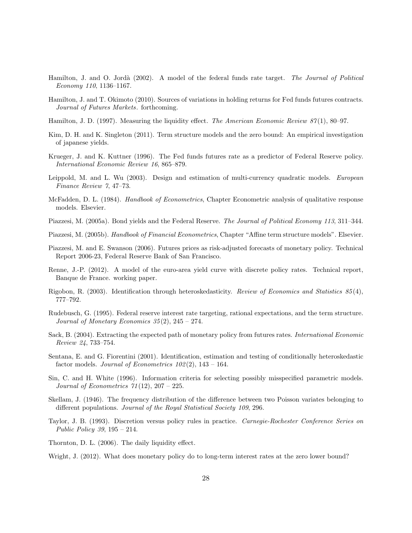- Hamilton, J. and O. Jord`a (2002). A model of the federal funds rate target. *The Journal of Political Economy 110*, 1136–1167.
- Hamilton, J. and T. Okimoto (2010). Sources of variations in holding returns for Fed funds futures contracts. *Journal of Futures Markets*. forthcoming.
- Hamilton, J. D. (1997). Measuring the liquidity effect. *The American Economic Review 87* (1), 80–97.
- Kim, D. H. and K. Singleton (2011). Term structure models and the zero bound: An empirical investigation of japanese yields.
- Krueger, J. and K. Kuttner (1996). The Fed funds futures rate as a predictor of Federal Reserve policy. *International Economic Review 16*, 865–879.
- Leippold, M. and L. Wu (2003). Design and estimation of multi-currency quadratic models. *European Finance Review 7*, 47–73.
- McFadden, D. L. (1984). *Handbook of Econometrics*, Chapter Econometric analysis of qualitative response models. Elsevier.
- Piazzesi, M. (2005a). Bond yields and the Federal Reserve. *The Journal of Political Economy 113*, 311–344.
- Piazzesi, M. (2005b). *Handbook of Financial Econometrics*, Chapter "Affine term structure models". Elsevier.
- Piazzesi, M. and E. Swanson (2006). Futures prices as risk-adjusted forecasts of monetary policy. Technical Report 2006-23, Federal Reserve Bank of San Francisco.
- Renne, J.-P. (2012). A model of the euro-area yield curve with discrete policy rates. Technical report, Banque de France. working paper.
- Rigobon, R. (2003). Identification through heteroskedasticity. *Review of Economics and Statistics 85* (4), 777–792.
- Rudebusch, G. (1995). Federal reserve interest rate targeting, rational expectations, and the term structure. *Journal of Monetary Economics 35* (2), 245 – 274.
- Sack, B. (2004). Extracting the expected path of monetary policy from futures rates. *International Economic Review 24*, 733–754.
- Sentana, E. and G. Fiorentini (2001). Identification, estimation and testing of conditionally heteroskedastic factor models. *Journal of Econometrics 102* (2), 143 – 164.
- Sin, C. and H. White (1996). Information criteria for selecting possibly misspecified parametric models. *Journal of Econometrics 71* (12), 207 – 225.
- Skellam, J. (1946). The frequency distribution of the difference between two Poisson variates belonging to different populations. *Journal of the Royal Statistical Society 109*, 296.
- Taylor, J. B. (1993). Discretion versus policy rules in practice. *Carnegie-Rochester Conference Series on Public Policy 39*, 195 – 214.
- Thornton, D. L. (2006). The daily liquidity effect.

Wright, J. (2012). What does monetary policy do to long-term interest rates at the zero lower bound?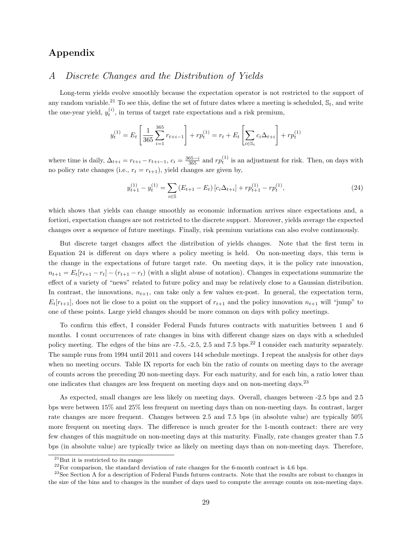# **Appendix**

## *A Discrete Changes and the Distribution of Yields*

Long-term yields evolve smoothly because the expectation operator is not restricted to the support of any random variable.<sup>21</sup> To see this, define the set of future dates where a meeting is scheduled,  $\mathcal{S}_t$ , and write the one-year yield,  $y_t^{(i)}$ , in terms of target rate expectations and a risk premium,

$$
y_t^{(1)} = E_t \left[ \frac{1}{365} \sum_{i=1}^{365} r_{t+i-1} \right] + r p_t^{(1)} = r_t + E_t \left[ \sum_{i \in \mathbb{S}_t} c_i \Delta_{t+i} \right] + r p_t^{(1)}
$$

where time is daily,  $\Delta_{t+i} = r_{t+i} - r_{t+i-1}$ ,  $c_i = \frac{365-i}{365}$  and  $rp_t^{(1)}$  is an adjustment for risk. Then, on days with no policy rate changes (i.e.,  $r_t = r_{t+1}$ ), yield changes are given by,

$$
y_{t+1}^{(1)} - y_t^{(1)} = \sum_{i \in \mathbb{S}} \left( E_{t+1} - E_t \right) \left[ c_i \Delta_{t+i} \right] + r p_{t+1}^{(1)} - r p_t^{(1)}, \tag{24}
$$

which shows that yields can change smoothly as economic information arrives since expectations and, a fortiori, expectation changes are not restricted to the discrete support. Moreover, yields average the expected changes over a sequence of future meetings. Finally, risk premium variations can also evolve continuously.

But discrete target changes affect the distribution of yields changes. Note that the first term in Equation 24 is different on days where a policy meeting is held. On non-meeting days, this term is the change in the expectations of future target rate. On meeting days, it is the policy rate innovation,  $n_{t+1} = E_t[r_{t+1} - r_t] - (r_{t+1} - r_t)$  (with a slight abuse of notation). Changes in expectations summarize the effect of a variety of "news" related to future policy and may be relatively close to a Gaussian distribution. In contrast, the innovations,  $n_{t+1}$ , can take only a few values ex-post. In general, the expectation term,  $E_t[r_{t+1}]$ , does not lie close to a point on the support of  $r_{t+1}$  and the policy innovation  $n_{t+1}$  will "jump" to one of these points. Large yield changes should be more common on days with policy meetings.

To confirm this effect, I consider Federal Funds futures contracts with maturities between 1 and 6 months. I count occurrences of rate changes in bins with different change sizes on days with a scheduled policy meeting. The edges of the bins are -7.5, -2.5, 2.5 and 7.5 bps.<sup>22</sup> I consider each maturity separately. The sample runs from 1994 until 2011 and covers 144 schedule meetings. I repeat the analysis for other days when no meeting occurs. Table IX reports for each bin the ratio of counts on meeting days to the average of counts across the preceding 20 non-meeting days. For each maturity, and for each bin, a ratio lower than one indicates that changes are less frequent on meeting days and on non-meeting days.<sup>23</sup>

As expected, small changes are less likely on meeting days. Overall, changes between -2.5 bps and 2.5 bps were between 15% and 25% less frequent on meeting days than on non-meeting days. In contrast, larger rate changes are more frequent. Changes between 2.5 and 7.5 bps (in absolute value) are typically 50% more frequent on meeting days. The difference is much greater for the 1-month contract: there are very few changes of this magnitude on non-meeting days at this maturity. Finally, rate changes greater than 7.5 bps (in absolute value) are typically twice as likely on meeting days than on non-meeting days. Therefore,

 $^{21}$ But it is restricted to its range

 $^{22}$ For comparison, the standard deviation of rate changes for the 6-month contract is 4.6 bps.

<sup>&</sup>lt;sup>23</sup>See Section A for a description of Federal Funds futures contracts. Note that the results are robust to changes in the size of the bins and to changes in the number of days used to compute the average counts on non-meeting days.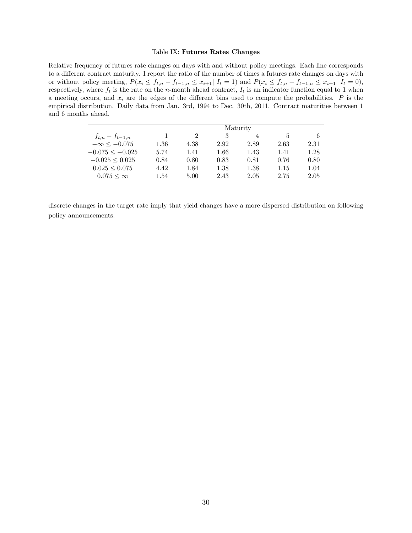#### Table IX: **Futures Rates Changes**

Relative frequency of futures rate changes on days with and without policy meetings. Each line corresponds to a different contract maturity. I report the ratio of the number of times a futures rate changes on days with or without policy meeting,  $P(x_i \le f_{t,n} - f_{t-1,n} \le x_{i+1} | I_t = 1)$  and  $P(x_i \le f_{t,n} - f_{t-1,n} \le x_{i+1} | I_t = 0)$ , respectively, where  $f_t$  is the rate on the *n*-month ahead contract,  $I_t$  is an indicator function equal to 1 when a meeting occurs, and *x<sup>i</sup>* are the edges of the different bins used to compute the probabilities. *P* is the empirical distribution. Daily data from Jan. 3rd, 1994 to Dec. 30th, 2011. Contract maturities between 1 and 6 months ahead.

|                       |      | Maturity |      |      |      |      |  |  |
|-----------------------|------|----------|------|------|------|------|--|--|
| $f_{t,n} - f_{t-1,n}$ |      |          | 3    |      | 5    |      |  |  |
| $-\infty < -0.075$    | 1.36 | 4.38     | 2.92 | 2.89 | 2.63 | 2.31 |  |  |
| $-0.075 \le -0.025$   | 5.74 | 1.41     | 1.66 | 1.43 | 1.41 | 1.28 |  |  |
| $-0.025 \leq 0.025$   | 0.84 | 0.80     | 0.83 | 0.81 | 0.76 | 0.80 |  |  |
| $0.025 \leq 0.075$    | 4.42 | 1.84     | 1.38 | 1.38 | 1.15 | 1.04 |  |  |
| $0.075 < \infty$      | 1.54 | 5.00     | 2.43 | 2.05 | 2.75 | 2.05 |  |  |

discrete changes in the target rate imply that yield changes have a more dispersed distribution on following policy announcements.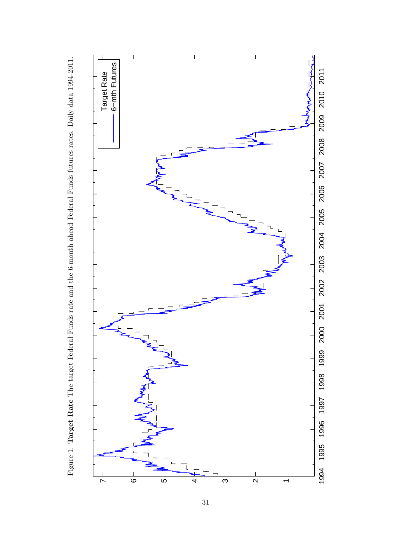

Figure 1: Target Rate The target Federal Funds rate and the 6-month ahead Federal Funds futures rates. Daily data 1994-2011. Figure 1: **Target Rate** The target Federal Funds rate and the 6-month ahead Federal Funds futures rates. Daily data 1994-2011.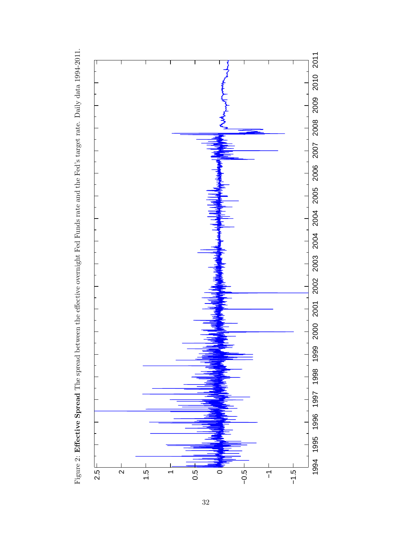

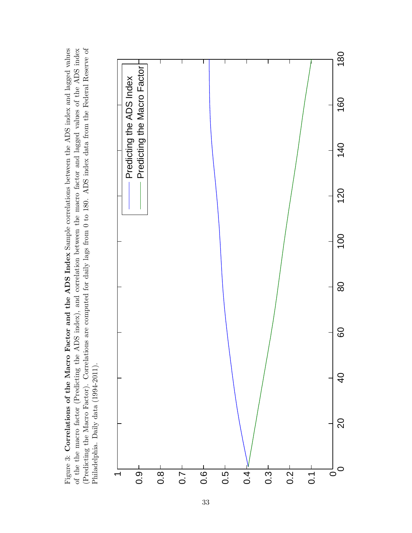(Predicting the Macro Factor). Correlations are computed for daily lags from 0 to 180. ADS index data from the Federal Reserve of Figure 3: Correlations of the Macro Factor and the ADS Index Sample correlations between the ADS index and lagged values of the the macro factor (Predicting the ADS index), and correlation between the macro factor and lagged values of the ADS index (Predicting the Macro Factor). Correlations are computed for daily lags from 0 to 180. ADS index data from the Federal Reserve of Figure 3: Correlations of the Macro Factor and the ADS Index Sample correlations between the ADS index and lagged values of the the macro factor (Predicting the ADS index), and correlation between the macro factor and lagged values of the ADS index Philadelphia. Daily data (1994-2011). Philadelphia. Daily data (1994-2011).

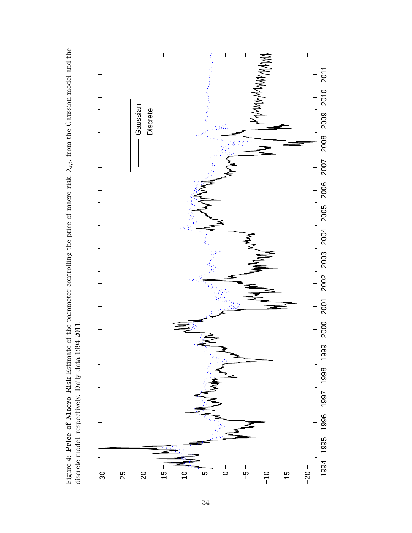

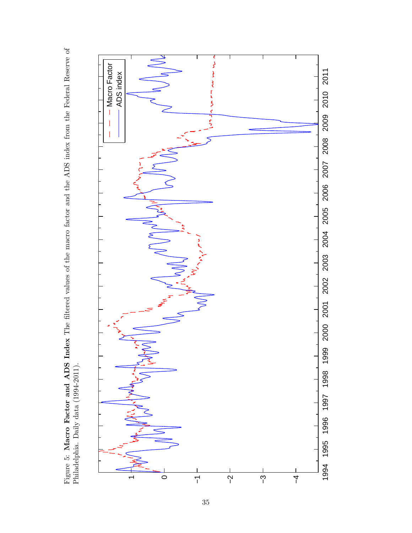Figure 5: Macro Factor and ADS Index The filtered values of the macro factor and the ADS index from the Federal Reserve of Philadelphia. Daily data (1994-2011). Figure 5: **Macro Factor and ADS Index** The filtered values of the macro factor and the ADS index from the Federal Reserve of Philadelphia. Daily data (1994-2011).

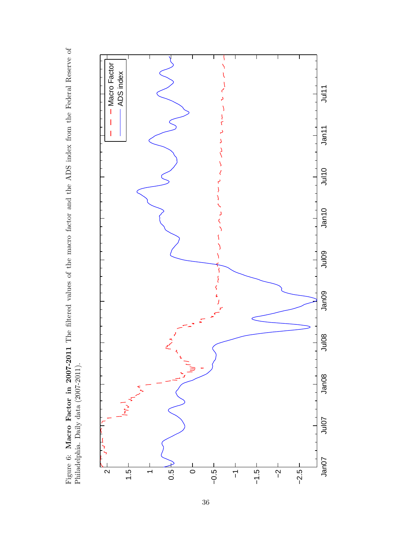Figure 6: Macro Factor in 2007-2011 The filtered values of the macro factor and the ADS index from the Federal Reserve of Philadelphia. Daily data (2007-2011). Figure 6: **Macro Factor in 2007-2011** The filtered values of the macro factor and the ADS index from the Federal Reserve of Philadelphia. Daily data (2007-2011).